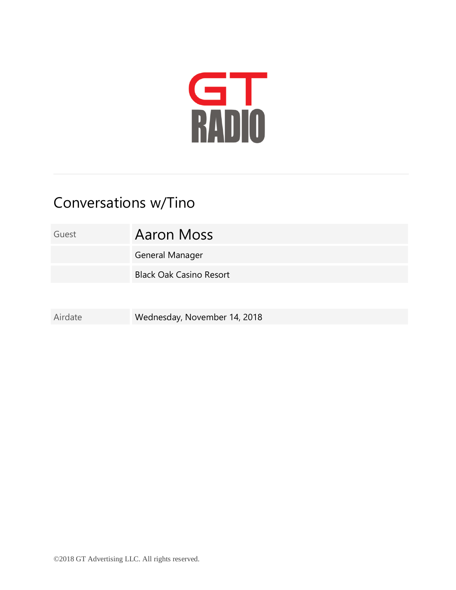

## Conversations w/Tino

Guest **Aaron Moss** 

General Manager

Black Oak Casino Resort

Airdate Wednesday, November 14, 2018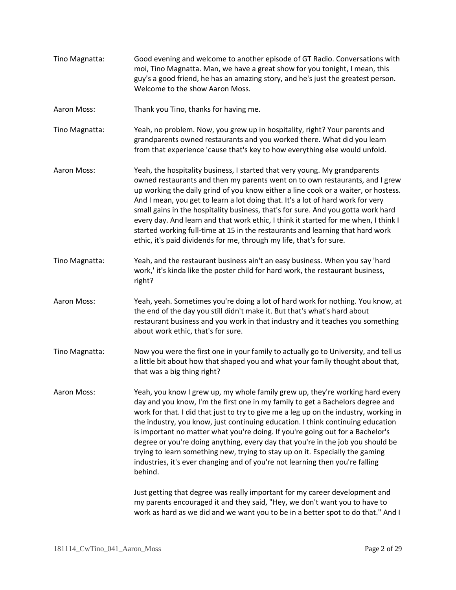- Tino Magnatta: Good evening and welcome to another episode of GT Radio. Conversations with moi, Tino Magnatta. Man, we have a great show for you tonight, I mean, this guy's a good friend, he has an amazing story, and he's just the greatest person. Welcome to the show Aaron Moss.
- Aaron Moss: Thank you Tino, thanks for having me.
- Tino Magnatta: Yeah, no problem. Now, you grew up in hospitality, right? Your parents and grandparents owned restaurants and you worked there. What did you learn from that experience 'cause that's key to how everything else would unfold.
- Aaron Moss: Yeah, the hospitality business, I started that very young. My grandparents owned restaurants and then my parents went on to own restaurants, and I grew up working the daily grind of you know either a line cook or a waiter, or hostess. And I mean, you get to learn a lot doing that. It's a lot of hard work for very small gains in the hospitality business, that's for sure. And you gotta work hard every day. And learn and that work ethic, I think it started for me when, I think I started working full-time at 15 in the restaurants and learning that hard work ethic, it's paid dividends for me, through my life, that's for sure.
- Tino Magnatta: Yeah, and the restaurant business ain't an easy business. When you say 'hard work,' it's kinda like the poster child for hard work, the restaurant business, right?
- Aaron Moss: Yeah, yeah. Sometimes you're doing a lot of hard work for nothing. You know, at the end of the day you still didn't make it. But that's what's hard about restaurant business and you work in that industry and it teaches you something about work ethic, that's for sure.
- Tino Magnatta: Now you were the first one in your family to actually go to University, and tell us a little bit about how that shaped you and what your family thought about that, that was a big thing right?
- Aaron Moss: Yeah, you know I grew up, my whole family grew up, they're working hard every day and you know, I'm the first one in my family to get a Bachelors degree and work for that. I did that just to try to give me a leg up on the industry, working in the industry, you know, just continuing education. I think continuing education is important no matter what you're doing. If you're going out for a Bachelor's degree or you're doing anything, every day that you're in the job you should be trying to learn something new, trying to stay up on it. Especially the gaming industries, it's ever changing and of you're not learning then you're falling behind.

Just getting that degree was really important for my career development and my parents encouraged it and they said, "Hey, we don't want you to have to work as hard as we did and we want you to be in a better spot to do that." And I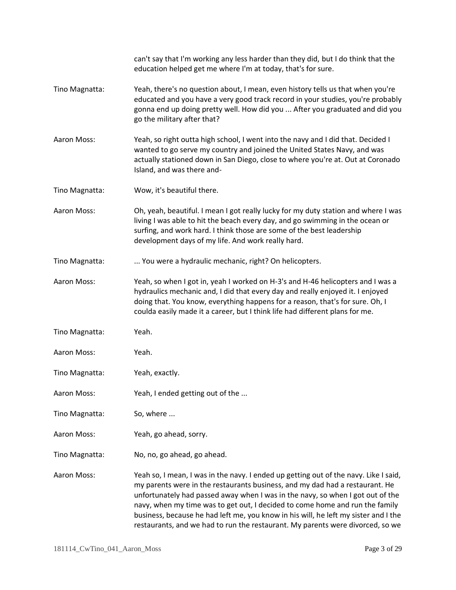|                | can't say that I'm working any less harder than they did, but I do think that the<br>education helped get me where I'm at today, that's for sure.                                                                                                                                                                                                                                                                                                                                                               |
|----------------|-----------------------------------------------------------------------------------------------------------------------------------------------------------------------------------------------------------------------------------------------------------------------------------------------------------------------------------------------------------------------------------------------------------------------------------------------------------------------------------------------------------------|
| Tino Magnatta: | Yeah, there's no question about, I mean, even history tells us that when you're<br>educated and you have a very good track record in your studies, you're probably<br>gonna end up doing pretty well. How did you  After you graduated and did you<br>go the military after that?                                                                                                                                                                                                                               |
| Aaron Moss:    | Yeah, so right outta high school, I went into the navy and I did that. Decided I<br>wanted to go serve my country and joined the United States Navy, and was<br>actually stationed down in San Diego, close to where you're at. Out at Coronado<br>Island, and was there and-                                                                                                                                                                                                                                   |
| Tino Magnatta: | Wow, it's beautiful there.                                                                                                                                                                                                                                                                                                                                                                                                                                                                                      |
| Aaron Moss:    | Oh, yeah, beautiful. I mean I got really lucky for my duty station and where I was<br>living I was able to hit the beach every day, and go swimming in the ocean or<br>surfing, and work hard. I think those are some of the best leadership<br>development days of my life. And work really hard.                                                                                                                                                                                                              |
| Tino Magnatta: | You were a hydraulic mechanic, right? On helicopters.                                                                                                                                                                                                                                                                                                                                                                                                                                                           |
| Aaron Moss:    | Yeah, so when I got in, yeah I worked on H-3's and H-46 helicopters and I was a<br>hydraulics mechanic and, I did that every day and really enjoyed it. I enjoyed<br>doing that. You know, everything happens for a reason, that's for sure. Oh, I<br>coulda easily made it a career, but I think life had different plans for me.                                                                                                                                                                              |
| Tino Magnatta: | Yeah.                                                                                                                                                                                                                                                                                                                                                                                                                                                                                                           |
| Aaron Moss:    | Yeah.                                                                                                                                                                                                                                                                                                                                                                                                                                                                                                           |
| Tino Magnatta: | Yeah, exactly.                                                                                                                                                                                                                                                                                                                                                                                                                                                                                                  |
| Aaron Moss:    | Yeah, I ended getting out of the                                                                                                                                                                                                                                                                                                                                                                                                                                                                                |
| Tino Magnatta: | So, where                                                                                                                                                                                                                                                                                                                                                                                                                                                                                                       |
| Aaron Moss:    | Yeah, go ahead, sorry.                                                                                                                                                                                                                                                                                                                                                                                                                                                                                          |
| Tino Magnatta: | No, no, go ahead, go ahead.                                                                                                                                                                                                                                                                                                                                                                                                                                                                                     |
| Aaron Moss:    | Yeah so, I mean, I was in the navy. I ended up getting out of the navy. Like I said,<br>my parents were in the restaurants business, and my dad had a restaurant. He<br>unfortunately had passed away when I was in the navy, so when I got out of the<br>navy, when my time was to get out, I decided to come home and run the family<br>business, because he had left me, you know in his will, he left my sister and I the<br>restaurants, and we had to run the restaurant. My parents were divorced, so we |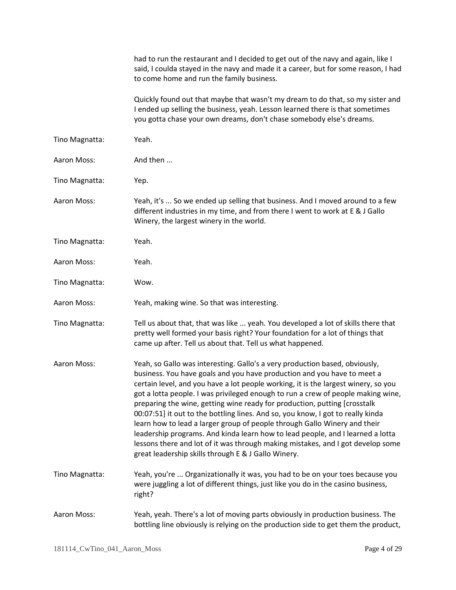|                | had to run the restaurant and I decided to get out of the navy and again, like I<br>said, I coulda stayed in the navy and made it a career, but for some reason, I had<br>to come home and run the family business.                                                                                                                                                                                                                                                                                                                                                                                                                                                                                                                                                                                       |
|----------------|-----------------------------------------------------------------------------------------------------------------------------------------------------------------------------------------------------------------------------------------------------------------------------------------------------------------------------------------------------------------------------------------------------------------------------------------------------------------------------------------------------------------------------------------------------------------------------------------------------------------------------------------------------------------------------------------------------------------------------------------------------------------------------------------------------------|
|                | Quickly found out that maybe that wasn't my dream to do that, so my sister and<br>I ended up selling the business, yeah. Lesson learned there is that sometimes<br>you gotta chase your own dreams, don't chase somebody else's dreams.                                                                                                                                                                                                                                                                                                                                                                                                                                                                                                                                                                   |
| Tino Magnatta: | Yeah.                                                                                                                                                                                                                                                                                                                                                                                                                                                                                                                                                                                                                                                                                                                                                                                                     |
| Aaron Moss:    | And then                                                                                                                                                                                                                                                                                                                                                                                                                                                                                                                                                                                                                                                                                                                                                                                                  |
| Tino Magnatta: | Yep.                                                                                                                                                                                                                                                                                                                                                                                                                                                                                                                                                                                                                                                                                                                                                                                                      |
| Aaron Moss:    | Yeah, it's  So we ended up selling that business. And I moved around to a few<br>different industries in my time, and from there I went to work at E & J Gallo<br>Winery, the largest winery in the world.                                                                                                                                                                                                                                                                                                                                                                                                                                                                                                                                                                                                |
| Tino Magnatta: | Yeah.                                                                                                                                                                                                                                                                                                                                                                                                                                                                                                                                                                                                                                                                                                                                                                                                     |
| Aaron Moss:    | Yeah.                                                                                                                                                                                                                                                                                                                                                                                                                                                                                                                                                                                                                                                                                                                                                                                                     |
| Tino Magnatta: | Wow.                                                                                                                                                                                                                                                                                                                                                                                                                                                                                                                                                                                                                                                                                                                                                                                                      |
| Aaron Moss:    | Yeah, making wine. So that was interesting.                                                                                                                                                                                                                                                                                                                                                                                                                                                                                                                                                                                                                                                                                                                                                               |
| Tino Magnatta: | Tell us about that, that was like  yeah. You developed a lot of skills there that<br>pretty well formed your basis right? Your foundation for a lot of things that<br>came up after. Tell us about that. Tell us what happened.                                                                                                                                                                                                                                                                                                                                                                                                                                                                                                                                                                           |
| Aaron Moss:    | Yeah, so Gallo was interesting. Gallo's a very production based, obviously,<br>business. You have goals and you have production and you have to meet a<br>certain level, and you have a lot people working, it is the largest winery, so you<br>got a lotta people. I was privileged enough to run a crew of people making wine,<br>preparing the wine, getting wine ready for production, putting [crosstalk<br>00:07:51] it out to the bottling lines. And so, you know, I got to really kinda<br>learn how to lead a larger group of people through Gallo Winery and their<br>leadership programs. And kinda learn how to lead people, and I learned a lotta<br>lessons there and lot of it was through making mistakes, and I got develop some<br>great leadership skills through E & J Gallo Winery. |
| Tino Magnatta: | Yeah, you're  Organizationally it was, you had to be on your toes because you<br>were juggling a lot of different things, just like you do in the casino business,<br>right?                                                                                                                                                                                                                                                                                                                                                                                                                                                                                                                                                                                                                              |
| Aaron Moss:    | Yeah, yeah. There's a lot of moving parts obviously in production business. The<br>bottling line obviously is relying on the production side to get them the product,                                                                                                                                                                                                                                                                                                                                                                                                                                                                                                                                                                                                                                     |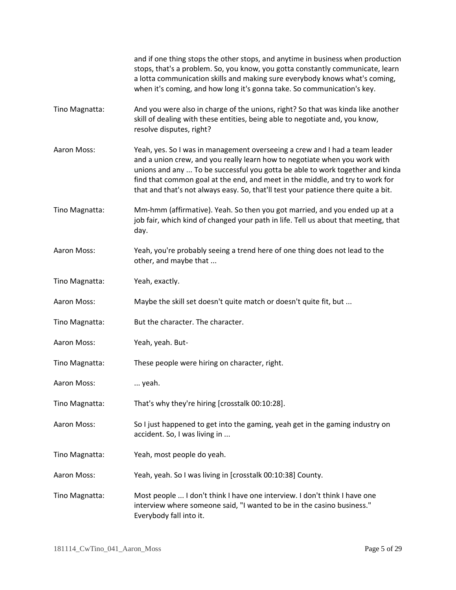|                | and if one thing stops the other stops, and anytime in business when production<br>stops, that's a problem. So, you know, you gotta constantly communicate, learn<br>a lotta communication skills and making sure everybody knows what's coming,<br>when it's coming, and how long it's gonna take. So communication's key.                                                                                       |
|----------------|-------------------------------------------------------------------------------------------------------------------------------------------------------------------------------------------------------------------------------------------------------------------------------------------------------------------------------------------------------------------------------------------------------------------|
| Tino Magnatta: | And you were also in charge of the unions, right? So that was kinda like another<br>skill of dealing with these entities, being able to negotiate and, you know,<br>resolve disputes, right?                                                                                                                                                                                                                      |
| Aaron Moss:    | Yeah, yes. So I was in management overseeing a crew and I had a team leader<br>and a union crew, and you really learn how to negotiate when you work with<br>unions and any  To be successful you gotta be able to work together and kinda<br>find that common goal at the end, and meet in the middle, and try to work for<br>that and that's not always easy. So, that'll test your patience there quite a bit. |
| Tino Magnatta: | Mm-hmm (affirmative). Yeah. So then you got married, and you ended up at a<br>job fair, which kind of changed your path in life. Tell us about that meeting, that<br>day.                                                                                                                                                                                                                                         |
| Aaron Moss:    | Yeah, you're probably seeing a trend here of one thing does not lead to the<br>other, and maybe that                                                                                                                                                                                                                                                                                                              |
| Tino Magnatta: | Yeah, exactly.                                                                                                                                                                                                                                                                                                                                                                                                    |
| Aaron Moss:    | Maybe the skill set doesn't quite match or doesn't quite fit, but                                                                                                                                                                                                                                                                                                                                                 |
| Tino Magnatta: | But the character. The character.                                                                                                                                                                                                                                                                                                                                                                                 |
| Aaron Moss:    | Yeah, yeah. But-                                                                                                                                                                                                                                                                                                                                                                                                  |
| Tino Magnatta: | These people were hiring on character, right.                                                                                                                                                                                                                                                                                                                                                                     |
| Aaron Moss:    | yeah.                                                                                                                                                                                                                                                                                                                                                                                                             |
| Tino Magnatta: | That's why they're hiring [crosstalk 00:10:28].                                                                                                                                                                                                                                                                                                                                                                   |
| Aaron Moss:    | So I just happened to get into the gaming, yeah get in the gaming industry on<br>accident. So, I was living in                                                                                                                                                                                                                                                                                                    |
| Tino Magnatta: | Yeah, most people do yeah.                                                                                                                                                                                                                                                                                                                                                                                        |
| Aaron Moss:    | Yeah, yeah. So I was living in [crosstalk 00:10:38] County.                                                                                                                                                                                                                                                                                                                                                       |
| Tino Magnatta: | Most people  I don't think I have one interview. I don't think I have one<br>interview where someone said, "I wanted to be in the casino business."<br>Everybody fall into it.                                                                                                                                                                                                                                    |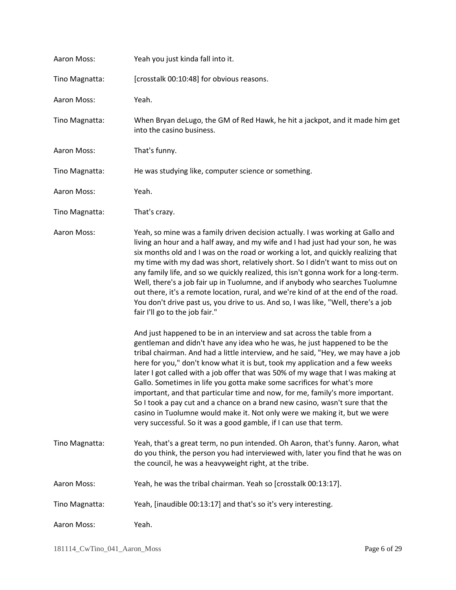| Aaron Moss:    | Yeah you just kinda fall into it.                                                                                                                                                                                                                                                                                                                                                                                                                                                                                                                                                                                                                                                                                                                                                                                                                                                                                                                                                                                                                                                                                                                                                                                                                                                                                                                                                                                                                                                                                                                  |
|----------------|----------------------------------------------------------------------------------------------------------------------------------------------------------------------------------------------------------------------------------------------------------------------------------------------------------------------------------------------------------------------------------------------------------------------------------------------------------------------------------------------------------------------------------------------------------------------------------------------------------------------------------------------------------------------------------------------------------------------------------------------------------------------------------------------------------------------------------------------------------------------------------------------------------------------------------------------------------------------------------------------------------------------------------------------------------------------------------------------------------------------------------------------------------------------------------------------------------------------------------------------------------------------------------------------------------------------------------------------------------------------------------------------------------------------------------------------------------------------------------------------------------------------------------------------------|
| Tino Magnatta: | [crosstalk 00:10:48] for obvious reasons.                                                                                                                                                                                                                                                                                                                                                                                                                                                                                                                                                                                                                                                                                                                                                                                                                                                                                                                                                                                                                                                                                                                                                                                                                                                                                                                                                                                                                                                                                                          |
| Aaron Moss:    | Yeah.                                                                                                                                                                                                                                                                                                                                                                                                                                                                                                                                                                                                                                                                                                                                                                                                                                                                                                                                                                                                                                                                                                                                                                                                                                                                                                                                                                                                                                                                                                                                              |
| Tino Magnatta: | When Bryan deLugo, the GM of Red Hawk, he hit a jackpot, and it made him get<br>into the casino business.                                                                                                                                                                                                                                                                                                                                                                                                                                                                                                                                                                                                                                                                                                                                                                                                                                                                                                                                                                                                                                                                                                                                                                                                                                                                                                                                                                                                                                          |
| Aaron Moss:    | That's funny.                                                                                                                                                                                                                                                                                                                                                                                                                                                                                                                                                                                                                                                                                                                                                                                                                                                                                                                                                                                                                                                                                                                                                                                                                                                                                                                                                                                                                                                                                                                                      |
| Tino Magnatta: | He was studying like, computer science or something.                                                                                                                                                                                                                                                                                                                                                                                                                                                                                                                                                                                                                                                                                                                                                                                                                                                                                                                                                                                                                                                                                                                                                                                                                                                                                                                                                                                                                                                                                               |
| Aaron Moss:    | Yeah.                                                                                                                                                                                                                                                                                                                                                                                                                                                                                                                                                                                                                                                                                                                                                                                                                                                                                                                                                                                                                                                                                                                                                                                                                                                                                                                                                                                                                                                                                                                                              |
| Tino Magnatta: | That's crazy.                                                                                                                                                                                                                                                                                                                                                                                                                                                                                                                                                                                                                                                                                                                                                                                                                                                                                                                                                                                                                                                                                                                                                                                                                                                                                                                                                                                                                                                                                                                                      |
| Aaron Moss:    | Yeah, so mine was a family driven decision actually. I was working at Gallo and<br>living an hour and a half away, and my wife and I had just had your son, he was<br>six months old and I was on the road or working a lot, and quickly realizing that<br>my time with my dad was short, relatively short. So I didn't want to miss out on<br>any family life, and so we quickly realized, this isn't gonna work for a long-term.<br>Well, there's a job fair up in Tuolumne, and if anybody who searches Tuolumne<br>out there, it's a remote location, rural, and we're kind of at the end of the road.<br>You don't drive past us, you drive to us. And so, I was like, "Well, there's a job<br>fair I'll go to the job fair."<br>And just happened to be in an interview and sat across the table from a<br>gentleman and didn't have any idea who he was, he just happened to be the<br>tribal chairman. And had a little interview, and he said, "Hey, we may have a job<br>here for you," don't know what it is but, took my application and a few weeks<br>later I got called with a job offer that was 50% of my wage that I was making at<br>Gallo. Sometimes in life you gotta make some sacrifices for what's more<br>important, and that particular time and now, for me, family's more important.<br>So I took a pay cut and a chance on a brand new casino, wasn't sure that the<br>casino in Tuolumne would make it. Not only were we making it, but we were<br>very successful. So it was a good gamble, if I can use that term. |
| Tino Magnatta: | Yeah, that's a great term, no pun intended. Oh Aaron, that's funny. Aaron, what<br>do you think, the person you had interviewed with, later you find that he was on<br>the council, he was a heavyweight right, at the tribe.                                                                                                                                                                                                                                                                                                                                                                                                                                                                                                                                                                                                                                                                                                                                                                                                                                                                                                                                                                                                                                                                                                                                                                                                                                                                                                                      |
| Aaron Moss:    | Yeah, he was the tribal chairman. Yeah so [crosstalk 00:13:17].                                                                                                                                                                                                                                                                                                                                                                                                                                                                                                                                                                                                                                                                                                                                                                                                                                                                                                                                                                                                                                                                                                                                                                                                                                                                                                                                                                                                                                                                                    |
| Tino Magnatta: | Yeah, [inaudible 00:13:17] and that's so it's very interesting.                                                                                                                                                                                                                                                                                                                                                                                                                                                                                                                                                                                                                                                                                                                                                                                                                                                                                                                                                                                                                                                                                                                                                                                                                                                                                                                                                                                                                                                                                    |
| Aaron Moss:    | Yeah.                                                                                                                                                                                                                                                                                                                                                                                                                                                                                                                                                                                                                                                                                                                                                                                                                                                                                                                                                                                                                                                                                                                                                                                                                                                                                                                                                                                                                                                                                                                                              |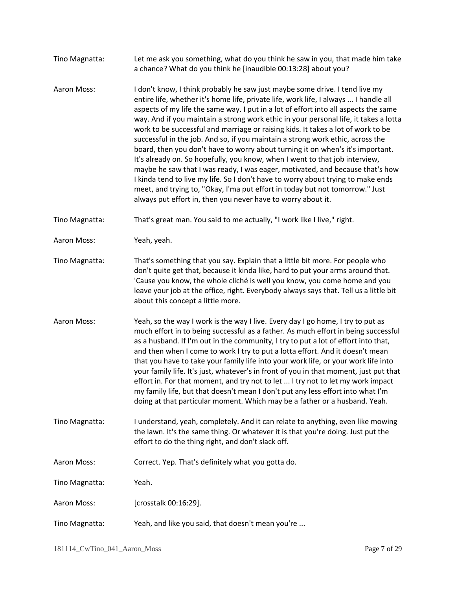- Tino Magnatta: Let me ask you something, what do you think he saw in you, that made him take a chance? What do you think he [inaudible 00:13:28] about you?
- Aaron Moss: I don't know, I think probably he saw just maybe some drive. I tend live my entire life, whether it's home life, private life, work life, I always ... I handle all aspects of my life the same way. I put in a lot of effort into all aspects the same way. And if you maintain a strong work ethic in your personal life, it takes a lotta work to be successful and marriage or raising kids. It takes a lot of work to be successful in the job. And so, if you maintain a strong work ethic, across the board, then you don't have to worry about turning it on when's it's important. It's already on. So hopefully, you know, when I went to that job interview, maybe he saw that I was ready, I was eager, motivated, and because that's how I kinda tend to live my life. So I don't have to worry about trying to make ends meet, and trying to, "Okay, I'ma put effort in today but not tomorrow." Just always put effort in, then you never have to worry about it.
- Tino Magnatta: That's great man. You said to me actually, "I work like I live," right.
- Aaron Moss: Yeah, yeah.
- Tino Magnatta: That's something that you say. Explain that a little bit more. For people who don't quite get that, because it kinda like, hard to put your arms around that. 'Cause you know, the whole cliché is well you know, you come home and you leave your job at the office, right. Everybody always says that. Tell us a little bit about this concept a little more.
- Aaron Moss: Yeah, so the way I work is the way I live. Every day I go home, I try to put as much effort in to being successful as a father. As much effort in being successful as a husband. If I'm out in the community, I try to put a lot of effort into that, and then when I come to work I try to put a lotta effort. And it doesn't mean that you have to take your family life into your work life, or your work life into your family life. It's just, whatever's in front of you in that moment, just put that effort in. For that moment, and try not to let ... I try not to let my work impact my family life, but that doesn't mean I don't put any less effort into what I'm doing at that particular moment. Which may be a father or a husband. Yeah.
- Tino Magnatta: I understand, yeah, completely. And it can relate to anything, even like mowing the lawn. It's the same thing. Or whatever it is that you're doing. Just put the effort to do the thing right, and don't slack off.
- Aaron Moss: Correct. Yep. That's definitely what you gotta do.

Tino Magnatta: Yeah.

Aaron Moss: [crosstalk 00:16:29].

Tino Magnatta: Yeah, and like you said, that doesn't mean you're ...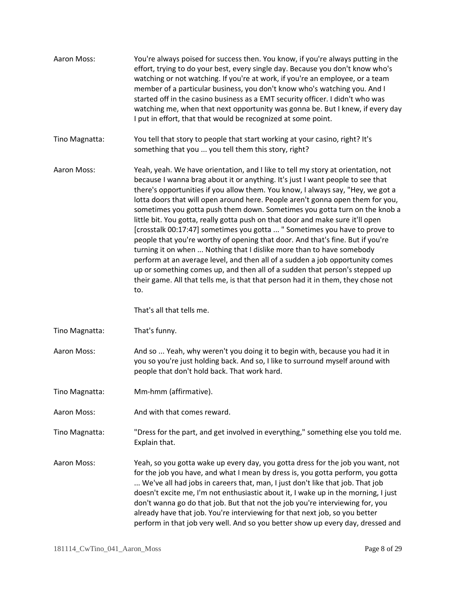| Aaron Moss:    | You're always poised for success then. You know, if you're always putting in the<br>effort, trying to do your best, every single day. Because you don't know who's<br>watching or not watching. If you're at work, if you're an employee, or a team<br>member of a particular business, you don't know who's watching you. And I<br>started off in the casino business as a EMT security officer. I didn't who was<br>watching me, when that next opportunity was gonna be. But I knew, if every day<br>I put in effort, that that would be recognized at some point.                                                                                                                                                                                                                                                                                                                                                                                                                                                                     |
|----------------|-------------------------------------------------------------------------------------------------------------------------------------------------------------------------------------------------------------------------------------------------------------------------------------------------------------------------------------------------------------------------------------------------------------------------------------------------------------------------------------------------------------------------------------------------------------------------------------------------------------------------------------------------------------------------------------------------------------------------------------------------------------------------------------------------------------------------------------------------------------------------------------------------------------------------------------------------------------------------------------------------------------------------------------------|
| Tino Magnatta: | You tell that story to people that start working at your casino, right? It's<br>something that you  you tell them this story, right?                                                                                                                                                                                                                                                                                                                                                                                                                                                                                                                                                                                                                                                                                                                                                                                                                                                                                                      |
| Aaron Moss:    | Yeah, yeah. We have orientation, and I like to tell my story at orientation, not<br>because I wanna brag about it or anything. It's just I want people to see that<br>there's opportunities if you allow them. You know, I always say, "Hey, we got a<br>lotta doors that will open around here. People aren't gonna open them for you,<br>sometimes you gotta push them down. Sometimes you gotta turn on the knob a<br>little bit. You gotta, really gotta push on that door and make sure it'll open<br>[crosstalk 00:17:47] sometimes you gotta  " Sometimes you have to prove to<br>people that you're worthy of opening that door. And that's fine. But if you're<br>turning it on when  Nothing that I dislike more than to have somebody<br>perform at an average level, and then all of a sudden a job opportunity comes<br>up or something comes up, and then all of a sudden that person's stepped up<br>their game. All that tells me, is that that person had it in them, they chose not<br>to.<br>That's all that tells me. |
|                |                                                                                                                                                                                                                                                                                                                                                                                                                                                                                                                                                                                                                                                                                                                                                                                                                                                                                                                                                                                                                                           |
| Tino Magnatta: | That's funny.                                                                                                                                                                                                                                                                                                                                                                                                                                                                                                                                                                                                                                                                                                                                                                                                                                                                                                                                                                                                                             |
| Aaron Moss:    | And so  Yeah, why weren't you doing it to begin with, because you had it in<br>you so you're just holding back. And so, I like to surround myself around with<br>people that don't hold back. That work hard.                                                                                                                                                                                                                                                                                                                                                                                                                                                                                                                                                                                                                                                                                                                                                                                                                             |
| Tino Magnatta: | Mm-hmm (affirmative).                                                                                                                                                                                                                                                                                                                                                                                                                                                                                                                                                                                                                                                                                                                                                                                                                                                                                                                                                                                                                     |
| Aaron Moss:    | And with that comes reward.                                                                                                                                                                                                                                                                                                                                                                                                                                                                                                                                                                                                                                                                                                                                                                                                                                                                                                                                                                                                               |
| Tino Magnatta: | "Dress for the part, and get involved in everything," something else you told me.<br>Explain that.                                                                                                                                                                                                                                                                                                                                                                                                                                                                                                                                                                                                                                                                                                                                                                                                                                                                                                                                        |
| Aaron Moss:    | Yeah, so you gotta wake up every day, you gotta dress for the job you want, not<br>for the job you have, and what I mean by dress is, you gotta perform, you gotta<br>We've all had jobs in careers that, man, I just don't like that job. That job<br>doesn't excite me, I'm not enthusiastic about it, I wake up in the morning, I just<br>don't wanna go do that job. But that not the job you're interviewing for, you<br>already have that job. You're interviewing for that next job, so you better<br>perform in that job very well. And so you better show up every day, dressed and                                                                                                                                                                                                                                                                                                                                                                                                                                              |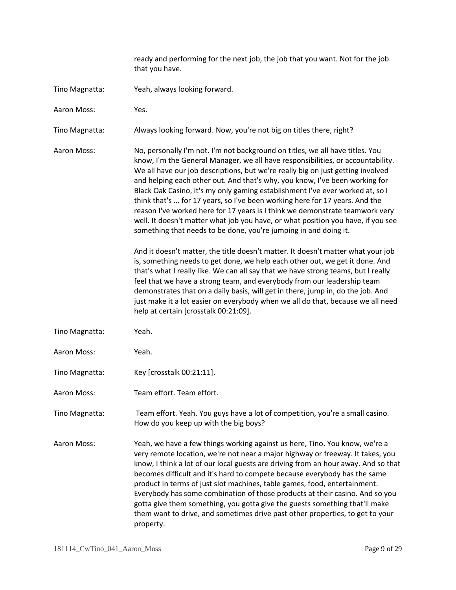ready and performing for the next job, the job that you want. Not for the job that you have.

- Tino Magnatta: Yeah, always looking forward.
- Aaron Moss: Yes.

Tino Magnatta: Always looking forward. Now, you're not big on titles there, right?

Aaron Moss: No, personally I'm not. I'm not background on titles, we all have titles. You know, I'm the General Manager, we all have responsibilities, or accountability. We all have our job descriptions, but we're really big on just getting involved and helping each other out. And that's why, you know, I've been working for Black Oak Casino, it's my only gaming establishment I've ever worked at, so I think that's ... for 17 years, so I've been working here for 17 years. And the reason I've worked here for 17 years is I think we demonstrate teamwork very well. It doesn't matter what job you have, or what position you have, if you see something that needs to be done, you're jumping in and doing it.

> And it doesn't matter, the title doesn't matter. It doesn't matter what your job is, something needs to get done, we help each other out, we get it done. And that's what I really like. We can all say that we have strong teams, but I really feel that we have a strong team, and everybody from our leadership team demonstrates that on a daily basis, will get in there, jump in, do the job. And just make it a lot easier on everybody when we all do that, because we all need help at certain [crosstalk 00:21:09].

- Tino Magnatta: Yeah.
- Aaron Moss: Yeah.
- Tino Magnatta: Key [crosstalk 00:21:11].
- Aaron Moss: Team effort. Team effort.

Tino Magnatta: Team effort. Yeah. You guys have a lot of competition, you're a small casino. How do you keep up with the big boys?

Aaron Moss: Yeah, we have a few things working against us here, Tino. You know, we're a very remote location, we're not near a major highway or freeway. It takes, you know, I think a lot of our local guests are driving from an hour away. And so that becomes difficult and it's hard to compete because everybody has the same product in terms of just slot machines, table games, food, entertainment. Everybody has some combination of those products at their casino. And so you gotta give them something, you gotta give the guests something that'll make them want to drive, and sometimes drive past other properties, to get to your property.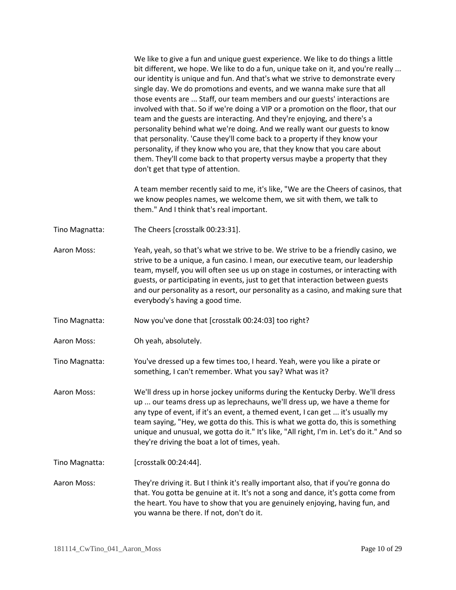We like to give a fun and unique guest experience. We like to do things a little bit different, we hope. We like to do a fun, unique take on it, and you're really ... our identity is unique and fun. And that's what we strive to demonstrate every single day. We do promotions and events, and we wanna make sure that all those events are ... Staff, our team members and our guests' interactions are involved with that. So if we're doing a VIP or a promotion on the floor, that our team and the guests are interacting. And they're enjoying, and there's a personality behind what we're doing. And we really want our guests to know that personality. 'Cause they'll come back to a property if they know your personality, if they know who you are, that they know that you care about them. They'll come back to that property versus maybe a property that they don't get that type of attention.

A team member recently said to me, it's like, "We are the Cheers of casinos, that we know peoples names, we welcome them, we sit with them, we talk to them." And I think that's real important.

- Tino Magnatta: The Cheers [crosstalk 00:23:31].
- Aaron Moss: Yeah, yeah, so that's what we strive to be. We strive to be a friendly casino, we strive to be a unique, a fun casino. I mean, our executive team, our leadership team, myself, you will often see us up on stage in costumes, or interacting with guests, or participating in events, just to get that interaction between guests and our personality as a resort, our personality as a casino, and making sure that everybody's having a good time.
- Tino Magnatta: Now you've done that [crosstalk 00:24:03] too right?
- Aaron Moss: Oh yeah, absolutely.

Tino Magnatta: You've dressed up a few times too, I heard. Yeah, were you like a pirate or something, I can't remember. What you say? What was it?

Aaron Moss: We'll dress up in horse jockey uniforms during the Kentucky Derby. We'll dress up ... our teams dress up as leprechauns, we'll dress up, we have a theme for any type of event, if it's an event, a themed event, I can get ... it's usually my team saying, "Hey, we gotta do this. This is what we gotta do, this is something unique and unusual, we gotta do it." It's like, "All right, I'm in. Let's do it." And so they're driving the boat a lot of times, yeah.

Tino Magnatta: [crosstalk 00:24:44].

Aaron Moss: They're driving it. But I think it's really important also, that if you're gonna do that. You gotta be genuine at it. It's not a song and dance, it's gotta come from the heart. You have to show that you are genuinely enjoying, having fun, and you wanna be there. If not, don't do it.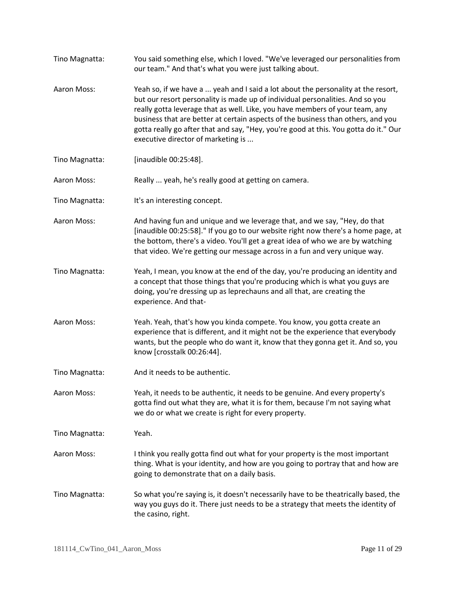Tino Magnatta: You said something else, which I loved. "We've leveraged our personalities from our team." And that's what you were just talking about. Aaron Moss: Yeah so, if we have a ... yeah and I said a lot about the personality at the resort, but our resort personality is made up of individual personalities. And so you really gotta leverage that as well. Like, you have members of your team, any business that are better at certain aspects of the business than others, and you gotta really go after that and say, "Hey, you're good at this. You gotta do it." Our executive director of marketing is ... Tino Magnatta: [inaudible 00:25:48]. Aaron Moss: Really ... yeah, he's really good at getting on camera. Tino Magnatta: It's an interesting concept. Aaron Moss: And having fun and unique and we leverage that, and we say, "Hey, do that [inaudible 00:25:58]." If you go to our website right now there's a home page, at the bottom, there's a video. You'll get a great idea of who we are by watching that video. We're getting our message across in a fun and very unique way. Tino Magnatta: Yeah, I mean, you know at the end of the day, you're producing an identity and a concept that those things that you're producing which is what you guys are doing, you're dressing up as leprechauns and all that, are creating the experience. And that-Aaron Moss: Yeah. Yeah, that's how you kinda compete. You know, you gotta create an experience that is different, and it might not be the experience that everybody wants, but the people who do want it, know that they gonna get it. And so, you know [crosstalk 00:26:44]. Tino Magnatta: And it needs to be authentic. Aaron Moss: Yeah, it needs to be authentic, it needs to be genuine. And every property's gotta find out what they are, what it is for them, because I'm not saying what we do or what we create is right for every property. Tino Magnatta: Yeah. Aaron Moss: I think you really gotta find out what for your property is the most important thing. What is your identity, and how are you going to portray that and how are going to demonstrate that on a daily basis. Tino Magnatta: So what you're saying is, it doesn't necessarily have to be theatrically based, the way you guys do it. There just needs to be a strategy that meets the identity of the casino, right.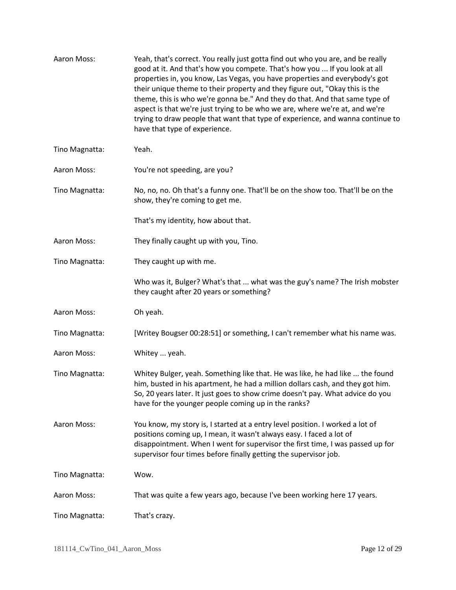| Aaron Moss:    | Yeah, that's correct. You really just gotta find out who you are, and be really<br>good at it. And that's how you compete. That's how you  If you look at all<br>properties in, you know, Las Vegas, you have properties and everybody's got<br>their unique theme to their property and they figure out, "Okay this is the<br>theme, this is who we're gonna be." And they do that. And that same type of<br>aspect is that we're just trying to be who we are, where we're at, and we're<br>trying to draw people that want that type of experience, and wanna continue to<br>have that type of experience. |
|----------------|---------------------------------------------------------------------------------------------------------------------------------------------------------------------------------------------------------------------------------------------------------------------------------------------------------------------------------------------------------------------------------------------------------------------------------------------------------------------------------------------------------------------------------------------------------------------------------------------------------------|
| Tino Magnatta: | Yeah.                                                                                                                                                                                                                                                                                                                                                                                                                                                                                                                                                                                                         |
| Aaron Moss:    | You're not speeding, are you?                                                                                                                                                                                                                                                                                                                                                                                                                                                                                                                                                                                 |
| Tino Magnatta: | No, no, no. Oh that's a funny one. That'll be on the show too. That'll be on the<br>show, they're coming to get me.                                                                                                                                                                                                                                                                                                                                                                                                                                                                                           |
|                | That's my identity, how about that.                                                                                                                                                                                                                                                                                                                                                                                                                                                                                                                                                                           |
| Aaron Moss:    | They finally caught up with you, Tino.                                                                                                                                                                                                                                                                                                                                                                                                                                                                                                                                                                        |
| Tino Magnatta: | They caught up with me.                                                                                                                                                                                                                                                                                                                                                                                                                                                                                                                                                                                       |
|                | Who was it, Bulger? What's that  what was the guy's name? The Irish mobster<br>they caught after 20 years or something?                                                                                                                                                                                                                                                                                                                                                                                                                                                                                       |
| Aaron Moss:    | Oh yeah.                                                                                                                                                                                                                                                                                                                                                                                                                                                                                                                                                                                                      |
| Tino Magnatta: | [Writey Bougser 00:28:51] or something, I can't remember what his name was.                                                                                                                                                                                                                                                                                                                                                                                                                                                                                                                                   |
| Aaron Moss:    | Whitey  yeah.                                                                                                                                                                                                                                                                                                                                                                                                                                                                                                                                                                                                 |
| Tino Magnatta: | Whitey Bulger, yeah. Something like that. He was like, he had like  the found<br>him, busted in his apartment, he had a million dollars cash, and they got him.<br>So, 20 years later. It just goes to show crime doesn't pay. What advice do you<br>have for the younger people coming up in the ranks?                                                                                                                                                                                                                                                                                                      |
| Aaron Moss:    | You know, my story is, I started at a entry level position. I worked a lot of<br>positions coming up, I mean, it wasn't always easy. I faced a lot of<br>disappointment. When I went for supervisor the first time, I was passed up for<br>supervisor four times before finally getting the supervisor job.                                                                                                                                                                                                                                                                                                   |
| Tino Magnatta: | Wow.                                                                                                                                                                                                                                                                                                                                                                                                                                                                                                                                                                                                          |
| Aaron Moss:    | That was quite a few years ago, because I've been working here 17 years.                                                                                                                                                                                                                                                                                                                                                                                                                                                                                                                                      |
| Tino Magnatta: | That's crazy.                                                                                                                                                                                                                                                                                                                                                                                                                                                                                                                                                                                                 |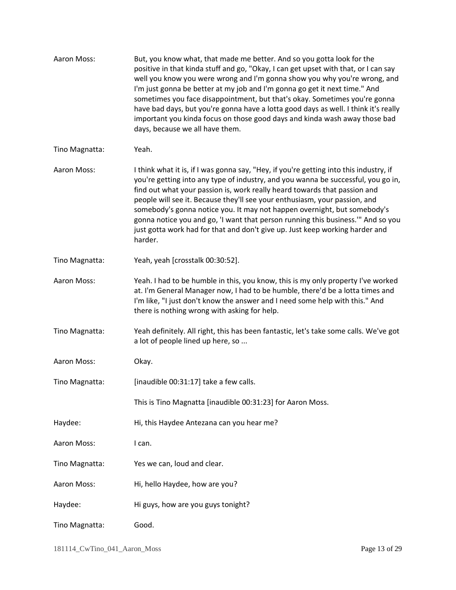| Aaron Moss:    | But, you know what, that made me better. And so you gotta look for the<br>positive in that kinda stuff and go, "Okay, I can get upset with that, or I can say<br>well you know you were wrong and I'm gonna show you why you're wrong, and<br>I'm just gonna be better at my job and I'm gonna go get it next time." And<br>sometimes you face disappointment, but that's okay. Sometimes you're gonna<br>have bad days, but you're gonna have a lotta good days as well. I think it's really<br>important you kinda focus on those good days and kinda wash away those bad<br>days, because we all have them. |
|----------------|----------------------------------------------------------------------------------------------------------------------------------------------------------------------------------------------------------------------------------------------------------------------------------------------------------------------------------------------------------------------------------------------------------------------------------------------------------------------------------------------------------------------------------------------------------------------------------------------------------------|
| Tino Magnatta: | Yeah.                                                                                                                                                                                                                                                                                                                                                                                                                                                                                                                                                                                                          |
| Aaron Moss:    | I think what it is, if I was gonna say, "Hey, if you're getting into this industry, if<br>you're getting into any type of industry, and you wanna be successful, you go in,<br>find out what your passion is, work really heard towards that passion and<br>people will see it. Because they'll see your enthusiasm, your passion, and<br>somebody's gonna notice you. It may not happen overnight, but somebody's<br>gonna notice you and go, 'I want that person running this business." And so you<br>just gotta work had for that and don't give up. Just keep working harder and<br>harder.               |
| Tino Magnatta: | Yeah, yeah [crosstalk 00:30:52].                                                                                                                                                                                                                                                                                                                                                                                                                                                                                                                                                                               |
| Aaron Moss:    | Yeah. I had to be humble in this, you know, this is my only property I've worked<br>at. I'm General Manager now, I had to be humble, there'd be a lotta times and<br>I'm like, "I just don't know the answer and I need some help with this." And<br>there is nothing wrong with asking for help.                                                                                                                                                                                                                                                                                                              |
| Tino Magnatta: | Yeah definitely. All right, this has been fantastic, let's take some calls. We've got<br>a lot of people lined up here, so                                                                                                                                                                                                                                                                                                                                                                                                                                                                                     |
| Aaron Moss:    | Okay.                                                                                                                                                                                                                                                                                                                                                                                                                                                                                                                                                                                                          |
| Tino Magnatta: | [inaudible 00:31:17] take a few calls.                                                                                                                                                                                                                                                                                                                                                                                                                                                                                                                                                                         |
|                | This is Tino Magnatta [inaudible 00:31:23] for Aaron Moss.                                                                                                                                                                                                                                                                                                                                                                                                                                                                                                                                                     |
| Haydee:        | Hi, this Haydee Antezana can you hear me?                                                                                                                                                                                                                                                                                                                                                                                                                                                                                                                                                                      |
| Aaron Moss:    | I can.                                                                                                                                                                                                                                                                                                                                                                                                                                                                                                                                                                                                         |
| Tino Magnatta: | Yes we can, loud and clear.                                                                                                                                                                                                                                                                                                                                                                                                                                                                                                                                                                                    |
| Aaron Moss:    | Hi, hello Haydee, how are you?                                                                                                                                                                                                                                                                                                                                                                                                                                                                                                                                                                                 |
| Haydee:        | Hi guys, how are you guys tonight?                                                                                                                                                                                                                                                                                                                                                                                                                                                                                                                                                                             |
| Tino Magnatta: | Good.                                                                                                                                                                                                                                                                                                                                                                                                                                                                                                                                                                                                          |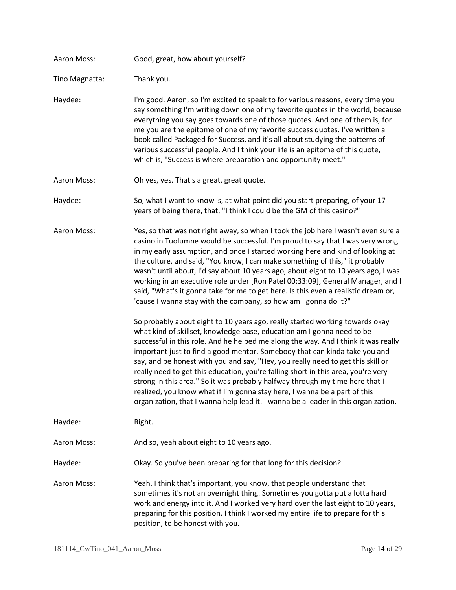| Aaron Moss:    | Good, great, how about yourself?                                                                                                                                                                                                                                                                                                                                                                                                                                                                                                                                                                                                                                                                                                                      |
|----------------|-------------------------------------------------------------------------------------------------------------------------------------------------------------------------------------------------------------------------------------------------------------------------------------------------------------------------------------------------------------------------------------------------------------------------------------------------------------------------------------------------------------------------------------------------------------------------------------------------------------------------------------------------------------------------------------------------------------------------------------------------------|
| Tino Magnatta: | Thank you.                                                                                                                                                                                                                                                                                                                                                                                                                                                                                                                                                                                                                                                                                                                                            |
| Haydee:        | I'm good. Aaron, so I'm excited to speak to for various reasons, every time you<br>say something I'm writing down one of my favorite quotes in the world, because<br>everything you say goes towards one of those quotes. And one of them is, for<br>me you are the epitome of one of my favorite success quotes. I've written a<br>book called Packaged for Success, and it's all about studying the patterns of<br>various successful people. And I think your life is an epitome of this quote,<br>which is, "Success is where preparation and opportunity meet."                                                                                                                                                                                  |
| Aaron Moss:    | Oh yes, yes. That's a great, great quote.                                                                                                                                                                                                                                                                                                                                                                                                                                                                                                                                                                                                                                                                                                             |
| Haydee:        | So, what I want to know is, at what point did you start preparing, of your 17<br>years of being there, that, "I think I could be the GM of this casino?"                                                                                                                                                                                                                                                                                                                                                                                                                                                                                                                                                                                              |
| Aaron Moss:    | Yes, so that was not right away, so when I took the job here I wasn't even sure a<br>casino in Tuolumne would be successful. I'm proud to say that I was very wrong<br>in my early assumption, and once I started working here and kind of looking at<br>the culture, and said, "You know, I can make something of this," it probably<br>wasn't until about, I'd say about 10 years ago, about eight to 10 years ago, I was<br>working in an executive role under [Ron Patel 00:33:09], General Manager, and I<br>said, "What's it gonna take for me to get here. Is this even a realistic dream or,<br>'cause I wanna stay with the company, so how am I gonna do it?"                                                                               |
|                | So probably about eight to 10 years ago, really started working towards okay<br>what kind of skillset, knowledge base, education am I gonna need to be<br>successful in this role. And he helped me along the way. And I think it was really<br>important just to find a good mentor. Somebody that can kinda take you and<br>say, and be honest with you and say, "Hey, you really need to get this skill or<br>really need to get this education, you're falling short in this area, you're very<br>strong in this area." So it was probably halfway through my time here that I<br>realized, you know what if I'm gonna stay here, I wanna be a part of this<br>organization, that I wanna help lead it. I wanna be a leader in this organization. |
| Haydee:        | Right.                                                                                                                                                                                                                                                                                                                                                                                                                                                                                                                                                                                                                                                                                                                                                |
| Aaron Moss:    | And so, yeah about eight to 10 years ago.                                                                                                                                                                                                                                                                                                                                                                                                                                                                                                                                                                                                                                                                                                             |
| Haydee:        | Okay. So you've been preparing for that long for this decision?                                                                                                                                                                                                                                                                                                                                                                                                                                                                                                                                                                                                                                                                                       |
| Aaron Moss:    | Yeah. I think that's important, you know, that people understand that<br>sometimes it's not an overnight thing. Sometimes you gotta put a lotta hard<br>work and energy into it. And I worked very hard over the last eight to 10 years,<br>preparing for this position. I think I worked my entire life to prepare for this<br>position, to be honest with you.                                                                                                                                                                                                                                                                                                                                                                                      |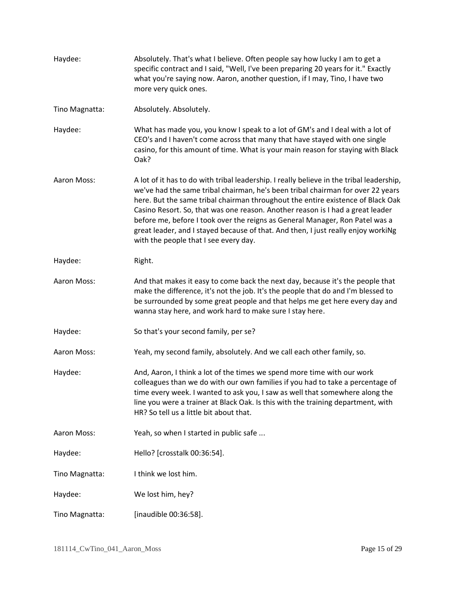| Haydee:        | Absolutely. That's what I believe. Often people say how lucky I am to get a<br>specific contract and I said, "Well, I've been preparing 20 years for it." Exactly<br>what you're saying now. Aaron, another question, if I may, Tino, I have two<br>more very quick ones.                                                                                                                                                                                                                                                                                      |
|----------------|----------------------------------------------------------------------------------------------------------------------------------------------------------------------------------------------------------------------------------------------------------------------------------------------------------------------------------------------------------------------------------------------------------------------------------------------------------------------------------------------------------------------------------------------------------------|
| Tino Magnatta: | Absolutely. Absolutely.                                                                                                                                                                                                                                                                                                                                                                                                                                                                                                                                        |
| Haydee:        | What has made you, you know I speak to a lot of GM's and I deal with a lot of<br>CEO's and I haven't come across that many that have stayed with one single<br>casino, for this amount of time. What is your main reason for staying with Black<br>Oak?                                                                                                                                                                                                                                                                                                        |
| Aaron Moss:    | A lot of it has to do with tribal leadership. I really believe in the tribal leadership,<br>we've had the same tribal chairman, he's been tribal chairman for over 22 years<br>here. But the same tribal chairman throughout the entire existence of Black Oak<br>Casino Resort. So, that was one reason. Another reason is I had a great leader<br>before me, before I took over the reigns as General Manager, Ron Patel was a<br>great leader, and I stayed because of that. And then, I just really enjoy workiNg<br>with the people that I see every day. |
| Haydee:        | Right.                                                                                                                                                                                                                                                                                                                                                                                                                                                                                                                                                         |
| Aaron Moss:    | And that makes it easy to come back the next day, because it's the people that<br>make the difference, it's not the job. It's the people that do and I'm blessed to<br>be surrounded by some great people and that helps me get here every day and<br>wanna stay here, and work hard to make sure I stay here.                                                                                                                                                                                                                                                 |
| Haydee:        | So that's your second family, per se?                                                                                                                                                                                                                                                                                                                                                                                                                                                                                                                          |
| Aaron Moss:    | Yeah, my second family, absolutely. And we call each other family, so.                                                                                                                                                                                                                                                                                                                                                                                                                                                                                         |
| Haydee:        | And, Aaron, I think a lot of the times we spend more time with our work<br>colleagues than we do with our own families if you had to take a percentage of<br>time every week. I wanted to ask you, I saw as well that somewhere along the<br>line you were a trainer at Black Oak. Is this with the training department, with<br>HR? So tell us a little bit about that.                                                                                                                                                                                       |
| Aaron Moss:    | Yeah, so when I started in public safe                                                                                                                                                                                                                                                                                                                                                                                                                                                                                                                         |
| Haydee:        | Hello? [crosstalk 00:36:54].                                                                                                                                                                                                                                                                                                                                                                                                                                                                                                                                   |
| Tino Magnatta: | I think we lost him.                                                                                                                                                                                                                                                                                                                                                                                                                                                                                                                                           |
| Haydee:        | We lost him, hey?                                                                                                                                                                                                                                                                                                                                                                                                                                                                                                                                              |
| Tino Magnatta: | [inaudible 00:36:58].                                                                                                                                                                                                                                                                                                                                                                                                                                                                                                                                          |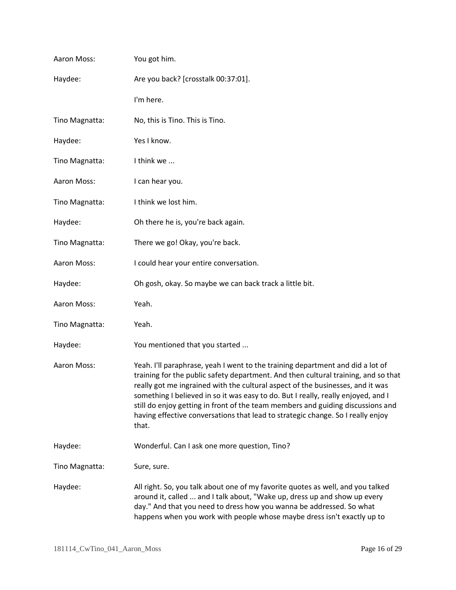| Aaron Moss:    | You got him.                                                                                                                                                                                                                                                                                                                                                                                                                                                                                                               |
|----------------|----------------------------------------------------------------------------------------------------------------------------------------------------------------------------------------------------------------------------------------------------------------------------------------------------------------------------------------------------------------------------------------------------------------------------------------------------------------------------------------------------------------------------|
| Haydee:        | Are you back? [crosstalk 00:37:01].                                                                                                                                                                                                                                                                                                                                                                                                                                                                                        |
|                | I'm here.                                                                                                                                                                                                                                                                                                                                                                                                                                                                                                                  |
| Tino Magnatta: | No, this is Tino. This is Tino.                                                                                                                                                                                                                                                                                                                                                                                                                                                                                            |
| Haydee:        | Yes I know.                                                                                                                                                                                                                                                                                                                                                                                                                                                                                                                |
| Tino Magnatta: | I think we                                                                                                                                                                                                                                                                                                                                                                                                                                                                                                                 |
| Aaron Moss:    | I can hear you.                                                                                                                                                                                                                                                                                                                                                                                                                                                                                                            |
| Tino Magnatta: | I think we lost him.                                                                                                                                                                                                                                                                                                                                                                                                                                                                                                       |
| Haydee:        | Oh there he is, you're back again.                                                                                                                                                                                                                                                                                                                                                                                                                                                                                         |
| Tino Magnatta: | There we go! Okay, you're back.                                                                                                                                                                                                                                                                                                                                                                                                                                                                                            |
| Aaron Moss:    | I could hear your entire conversation.                                                                                                                                                                                                                                                                                                                                                                                                                                                                                     |
| Haydee:        | Oh gosh, okay. So maybe we can back track a little bit.                                                                                                                                                                                                                                                                                                                                                                                                                                                                    |
| Aaron Moss:    | Yeah.                                                                                                                                                                                                                                                                                                                                                                                                                                                                                                                      |
| Tino Magnatta: | Yeah.                                                                                                                                                                                                                                                                                                                                                                                                                                                                                                                      |
| Haydee:        | You mentioned that you started                                                                                                                                                                                                                                                                                                                                                                                                                                                                                             |
| Aaron Moss:    | Yeah. I'll paraphrase, yeah I went to the training department and did a lot of<br>training for the public safety department. And then cultural training, and so that<br>really got me ingrained with the cultural aspect of the businesses, and it was<br>something I believed in so it was easy to do. But I really, really enjoyed, and I<br>still do enjoy getting in front of the team members and guiding discussions and<br>having effective conversations that lead to strategic change. So I really enjoy<br>that. |
| Haydee:        | Wonderful. Can I ask one more question, Tino?                                                                                                                                                                                                                                                                                                                                                                                                                                                                              |
| Tino Magnatta: | Sure, sure.                                                                                                                                                                                                                                                                                                                                                                                                                                                                                                                |
| Haydee:        | All right. So, you talk about one of my favorite quotes as well, and you talked<br>around it, called  and I talk about, "Wake up, dress up and show up every<br>day." And that you need to dress how you wanna be addressed. So what<br>happens when you work with people whose maybe dress isn't exactly up to                                                                                                                                                                                                            |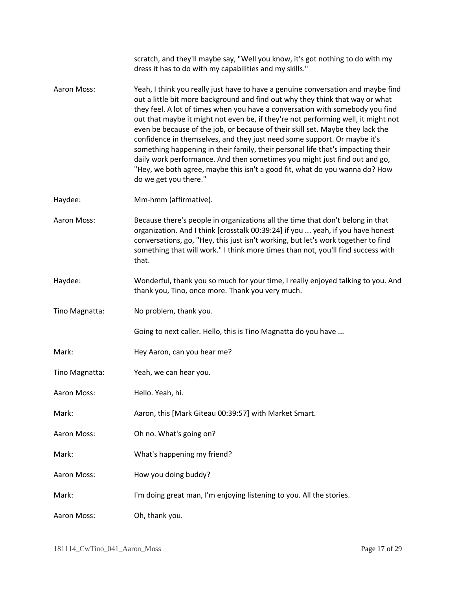|                | scratch, and they'll maybe say, "Well you know, it's got nothing to do with my<br>dress it has to do with my capabilities and my skills."                                                                                                                                                                                                                                                                                                                                                                                                                                                                                                                                                                                                                                      |
|----------------|--------------------------------------------------------------------------------------------------------------------------------------------------------------------------------------------------------------------------------------------------------------------------------------------------------------------------------------------------------------------------------------------------------------------------------------------------------------------------------------------------------------------------------------------------------------------------------------------------------------------------------------------------------------------------------------------------------------------------------------------------------------------------------|
| Aaron Moss:    | Yeah, I think you really just have to have a genuine conversation and maybe find<br>out a little bit more background and find out why they think that way or what<br>they feel. A lot of times when you have a conversation with somebody you find<br>out that maybe it might not even be, if they're not performing well, it might not<br>even be because of the job, or because of their skill set. Maybe they lack the<br>confidence in themselves, and they just need some support. Or maybe it's<br>something happening in their family, their personal life that's impacting their<br>daily work performance. And then sometimes you might just find out and go,<br>"Hey, we both agree, maybe this isn't a good fit, what do you wanna do? How<br>do we get you there." |
| Haydee:        | Mm-hmm (affirmative).                                                                                                                                                                                                                                                                                                                                                                                                                                                                                                                                                                                                                                                                                                                                                          |
| Aaron Moss:    | Because there's people in organizations all the time that don't belong in that<br>organization. And I think [crosstalk 00:39:24] if you  yeah, if you have honest<br>conversations, go, "Hey, this just isn't working, but let's work together to find<br>something that will work." I think more times than not, you'll find success with<br>that.                                                                                                                                                                                                                                                                                                                                                                                                                            |
| Haydee:        | Wonderful, thank you so much for your time, I really enjoyed talking to you. And<br>thank you, Tino, once more. Thank you very much.                                                                                                                                                                                                                                                                                                                                                                                                                                                                                                                                                                                                                                           |
| Tino Magnatta: | No problem, thank you.                                                                                                                                                                                                                                                                                                                                                                                                                                                                                                                                                                                                                                                                                                                                                         |
|                | Going to next caller. Hello, this is Tino Magnatta do you have                                                                                                                                                                                                                                                                                                                                                                                                                                                                                                                                                                                                                                                                                                                 |
| Mark:          | Hey Aaron, can you hear me?                                                                                                                                                                                                                                                                                                                                                                                                                                                                                                                                                                                                                                                                                                                                                    |
| Tino Magnatta: | Yeah, we can hear you.                                                                                                                                                                                                                                                                                                                                                                                                                                                                                                                                                                                                                                                                                                                                                         |
| Aaron Moss:    | Hello. Yeah, hi.                                                                                                                                                                                                                                                                                                                                                                                                                                                                                                                                                                                                                                                                                                                                                               |
| Mark:          | Aaron, this [Mark Giteau 00:39:57] with Market Smart.                                                                                                                                                                                                                                                                                                                                                                                                                                                                                                                                                                                                                                                                                                                          |
| Aaron Moss:    | Oh no. What's going on?                                                                                                                                                                                                                                                                                                                                                                                                                                                                                                                                                                                                                                                                                                                                                        |
| Mark:          | What's happening my friend?                                                                                                                                                                                                                                                                                                                                                                                                                                                                                                                                                                                                                                                                                                                                                    |
| Aaron Moss:    | How you doing buddy?                                                                                                                                                                                                                                                                                                                                                                                                                                                                                                                                                                                                                                                                                                                                                           |
| Mark:          | I'm doing great man, I'm enjoying listening to you. All the stories.                                                                                                                                                                                                                                                                                                                                                                                                                                                                                                                                                                                                                                                                                                           |
| Aaron Moss:    | Oh, thank you.                                                                                                                                                                                                                                                                                                                                                                                                                                                                                                                                                                                                                                                                                                                                                                 |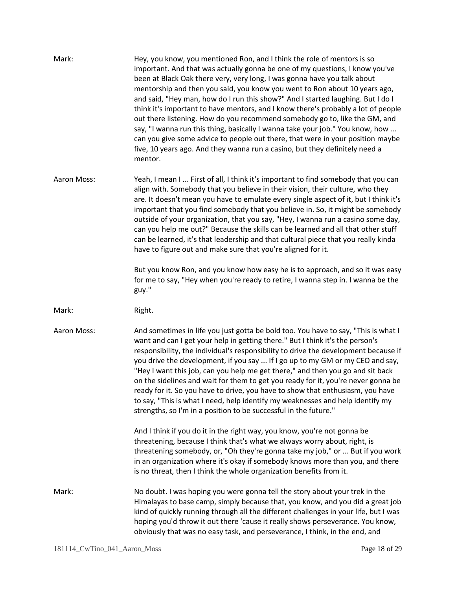| Mark:       | Hey, you know, you mentioned Ron, and I think the role of mentors is so<br>important. And that was actually gonna be one of my questions, I know you've<br>been at Black Oak there very, very long, I was gonna have you talk about<br>mentorship and then you said, you know you went to Ron about 10 years ago,<br>and said, "Hey man, how do I run this show?" And I started laughing. But I do I<br>think it's important to have mentors, and I know there's probably a lot of people<br>out there listening. How do you recommend somebody go to, like the GM, and<br>say, "I wanna run this thing, basically I wanna take your job." You know, how<br>can you give some advice to people out there, that were in your position maybe<br>five, 10 years ago. And they wanna run a casino, but they definitely need a<br>mentor. |
|-------------|--------------------------------------------------------------------------------------------------------------------------------------------------------------------------------------------------------------------------------------------------------------------------------------------------------------------------------------------------------------------------------------------------------------------------------------------------------------------------------------------------------------------------------------------------------------------------------------------------------------------------------------------------------------------------------------------------------------------------------------------------------------------------------------------------------------------------------------|
| Aaron Moss: | Yeah, I mean I  First of all, I think it's important to find somebody that you can<br>align with. Somebody that you believe in their vision, their culture, who they<br>are. It doesn't mean you have to emulate every single aspect of it, but I think it's<br>important that you find somebody that you believe in. So, it might be somebody<br>outside of your organization, that you say, "Hey, I wanna run a casino some day,<br>can you help me out?" Because the skills can be learned and all that other stuff<br>can be learned, it's that leadership and that cultural piece that you really kinda<br>have to figure out and make sure that you're aligned for it.                                                                                                                                                         |
|             | But you know Ron, and you know how easy he is to approach, and so it was easy<br>for me to say, "Hey when you're ready to retire, I wanna step in. I wanna be the<br>guy."                                                                                                                                                                                                                                                                                                                                                                                                                                                                                                                                                                                                                                                           |
| Mark:       | Right.                                                                                                                                                                                                                                                                                                                                                                                                                                                                                                                                                                                                                                                                                                                                                                                                                               |
| Aaron Moss: | And sometimes in life you just gotta be bold too. You have to say, "This is what I<br>want and can I get your help in getting there." But I think it's the person's<br>responsibility, the individual's responsibility to drive the development because if<br>you drive the development, if you say  If I go up to my GM or my CEO and say,<br>"Hey I want this job, can you help me get there," and then you go and sit back<br>on the sidelines and wait for them to get you ready for it, you're never gonna be<br>ready for it. So you have to drive, you have to show that enthusiasm, you have<br>to say, "This is what I need, help identify my weaknesses and help identify my<br>strengths, so I'm in a position to be successful in the future."                                                                           |
|             | And I think if you do it in the right way, you know, you're not gonna be<br>threatening, because I think that's what we always worry about, right, is<br>threatening somebody, or, "Oh they're gonna take my job," or  But if you work<br>in an organization where it's okay if somebody knows more than you, and there<br>is no threat, then I think the whole organization benefits from it.                                                                                                                                                                                                                                                                                                                                                                                                                                       |
| Mark:       | No doubt. I was hoping you were gonna tell the story about your trek in the<br>Himalayas to base camp, simply because that, you know, and you did a great job<br>kind of quickly running through all the different challenges in your life, but I was<br>hoping you'd throw it out there 'cause it really shows perseverance. You know,<br>obviously that was no easy task, and perseverance, I think, in the end, and                                                                                                                                                                                                                                                                                                                                                                                                               |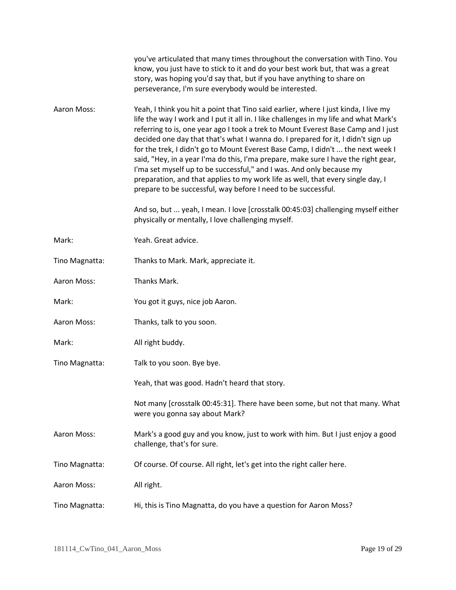|                | you've articulated that many times throughout the conversation with Tino. You<br>know, you just have to stick to it and do your best work but, that was a great<br>story, was hoping you'd say that, but if you have anything to share on<br>perseverance, I'm sure everybody would be interested.                                                                                                                                                                                                                                                                                                                                                                                                                                                         |
|----------------|------------------------------------------------------------------------------------------------------------------------------------------------------------------------------------------------------------------------------------------------------------------------------------------------------------------------------------------------------------------------------------------------------------------------------------------------------------------------------------------------------------------------------------------------------------------------------------------------------------------------------------------------------------------------------------------------------------------------------------------------------------|
| Aaron Moss:    | Yeah, I think you hit a point that Tino said earlier, where I just kinda, I live my<br>life the way I work and I put it all in. I like challenges in my life and what Mark's<br>referring to is, one year ago I took a trek to Mount Everest Base Camp and I just<br>decided one day that that's what I wanna do. I prepared for it, I didn't sign up<br>for the trek, I didn't go to Mount Everest Base Camp, I didn't  the next week I<br>said, "Hey, in a year I'ma do this, I'ma prepare, make sure I have the right gear,<br>I'ma set myself up to be successful," and I was. And only because my<br>preparation, and that applies to my work life as well, that every single day, I<br>prepare to be successful, way before I need to be successful. |
|                | And so, but  yeah, I mean. I love [crosstalk 00:45:03] challenging myself either<br>physically or mentally, I love challenging myself.                                                                                                                                                                                                                                                                                                                                                                                                                                                                                                                                                                                                                     |
| Mark:          | Yeah. Great advice.                                                                                                                                                                                                                                                                                                                                                                                                                                                                                                                                                                                                                                                                                                                                        |
| Tino Magnatta: | Thanks to Mark. Mark, appreciate it.                                                                                                                                                                                                                                                                                                                                                                                                                                                                                                                                                                                                                                                                                                                       |
| Aaron Moss:    | Thanks Mark.                                                                                                                                                                                                                                                                                                                                                                                                                                                                                                                                                                                                                                                                                                                                               |
| Mark:          | You got it guys, nice job Aaron.                                                                                                                                                                                                                                                                                                                                                                                                                                                                                                                                                                                                                                                                                                                           |
| Aaron Moss:    | Thanks, talk to you soon.                                                                                                                                                                                                                                                                                                                                                                                                                                                                                                                                                                                                                                                                                                                                  |
| Mark:          | All right buddy.                                                                                                                                                                                                                                                                                                                                                                                                                                                                                                                                                                                                                                                                                                                                           |
| Tino Magnatta: | Talk to you soon. Bye bye.                                                                                                                                                                                                                                                                                                                                                                                                                                                                                                                                                                                                                                                                                                                                 |
|                | Yeah, that was good. Hadn't heard that story.                                                                                                                                                                                                                                                                                                                                                                                                                                                                                                                                                                                                                                                                                                              |
|                | Not many [crosstalk 00:45:31]. There have been some, but not that many. What<br>were you gonna say about Mark?                                                                                                                                                                                                                                                                                                                                                                                                                                                                                                                                                                                                                                             |
| Aaron Moss:    | Mark's a good guy and you know, just to work with him. But I just enjoy a good<br>challenge, that's for sure.                                                                                                                                                                                                                                                                                                                                                                                                                                                                                                                                                                                                                                              |
| Tino Magnatta: | Of course. Of course. All right, let's get into the right caller here.                                                                                                                                                                                                                                                                                                                                                                                                                                                                                                                                                                                                                                                                                     |
| Aaron Moss:    | All right.                                                                                                                                                                                                                                                                                                                                                                                                                                                                                                                                                                                                                                                                                                                                                 |
| Tino Magnatta: | Hi, this is Tino Magnatta, do you have a question for Aaron Moss?                                                                                                                                                                                                                                                                                                                                                                                                                                                                                                                                                                                                                                                                                          |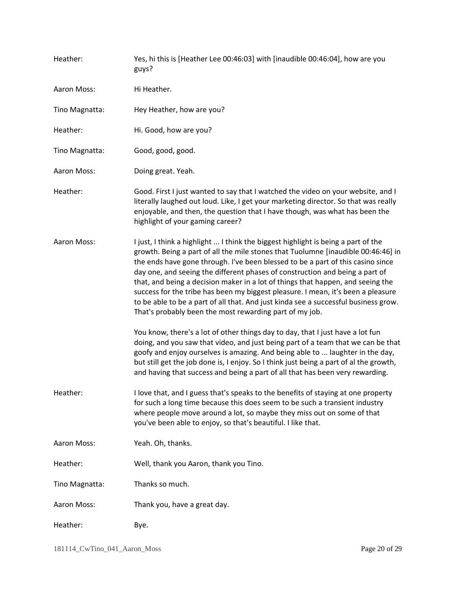| Heather:       | Yes, hi this is [Heather Lee 00:46:03] with [inaudible 00:46:04], how are you<br>guys?                                                                                                                                                                                                                                                                                                                                                                                                                                                                                                                                                                                                                                                                                                                                                                                                                                    |
|----------------|---------------------------------------------------------------------------------------------------------------------------------------------------------------------------------------------------------------------------------------------------------------------------------------------------------------------------------------------------------------------------------------------------------------------------------------------------------------------------------------------------------------------------------------------------------------------------------------------------------------------------------------------------------------------------------------------------------------------------------------------------------------------------------------------------------------------------------------------------------------------------------------------------------------------------|
| Aaron Moss:    | Hi Heather.                                                                                                                                                                                                                                                                                                                                                                                                                                                                                                                                                                                                                                                                                                                                                                                                                                                                                                               |
| Tino Magnatta: | Hey Heather, how are you?                                                                                                                                                                                                                                                                                                                                                                                                                                                                                                                                                                                                                                                                                                                                                                                                                                                                                                 |
| Heather:       | Hi. Good, how are you?                                                                                                                                                                                                                                                                                                                                                                                                                                                                                                                                                                                                                                                                                                                                                                                                                                                                                                    |
| Tino Magnatta: | Good, good, good.                                                                                                                                                                                                                                                                                                                                                                                                                                                                                                                                                                                                                                                                                                                                                                                                                                                                                                         |
| Aaron Moss:    | Doing great. Yeah.                                                                                                                                                                                                                                                                                                                                                                                                                                                                                                                                                                                                                                                                                                                                                                                                                                                                                                        |
| Heather:       | Good. First I just wanted to say that I watched the video on your website, and I<br>literally laughed out loud. Like, I get your marketing director. So that was really<br>enjoyable, and then, the question that I have though, was what has been the<br>highlight of your gaming career?                                                                                                                                                                                                                                                                                                                                                                                                                                                                                                                                                                                                                                |
| Aaron Moss:    | I just, I think a highlight  I think the biggest highlight is being a part of the<br>growth. Being a part of all the mile stones that Tuolumne [inaudible 00:46:46] in<br>the ends have gone through. I've been blessed to be a part of this casino since<br>day one, and seeing the different phases of construction and being a part of<br>that, and being a decision maker in a lot of things that happen, and seeing the<br>success for the tribe has been my biggest pleasure. I mean, it's been a pleasure<br>to be able to be a part of all that. And just kinda see a successful business grow.<br>That's probably been the most rewarding part of my job.<br>You know, there's a lot of other things day to day, that I just have a lot fun<br>doing, and you saw that video, and just being part of a team that we can be that<br>goofy and enjoy ourselves is amazing. And being able to  laughter in the day, |
|                | but still get the job done is, I enjoy. So I think just being a part of al the growth,<br>and having that success and being a part of all that has been very rewarding.                                                                                                                                                                                                                                                                                                                                                                                                                                                                                                                                                                                                                                                                                                                                                   |
| Heather:       | I love that, and I guess that's speaks to the benefits of staying at one property<br>for such a long time because this does seem to be such a transient industry<br>where people move around a lot, so maybe they miss out on some of that<br>you've been able to enjoy, so that's beautiful. I like that.                                                                                                                                                                                                                                                                                                                                                                                                                                                                                                                                                                                                                |
| Aaron Moss:    | Yeah. Oh, thanks.                                                                                                                                                                                                                                                                                                                                                                                                                                                                                                                                                                                                                                                                                                                                                                                                                                                                                                         |
| Heather:       | Well, thank you Aaron, thank you Tino.                                                                                                                                                                                                                                                                                                                                                                                                                                                                                                                                                                                                                                                                                                                                                                                                                                                                                    |
| Tino Magnatta: | Thanks so much.                                                                                                                                                                                                                                                                                                                                                                                                                                                                                                                                                                                                                                                                                                                                                                                                                                                                                                           |
| Aaron Moss:    | Thank you, have a great day.                                                                                                                                                                                                                                                                                                                                                                                                                                                                                                                                                                                                                                                                                                                                                                                                                                                                                              |
| Heather:       | Bye.                                                                                                                                                                                                                                                                                                                                                                                                                                                                                                                                                                                                                                                                                                                                                                                                                                                                                                                      |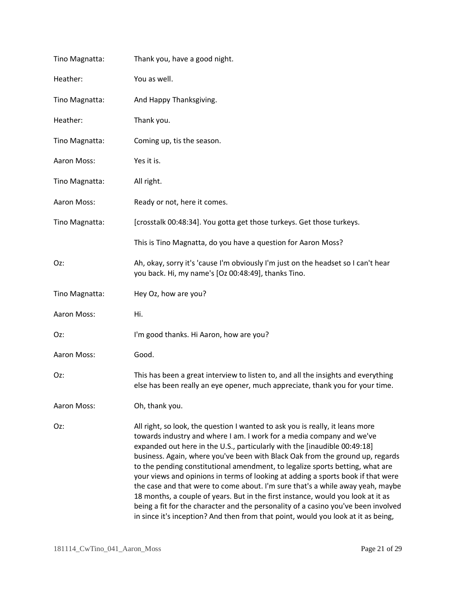| Tino Magnatta: | Thank you, have a good night.                                                                                                                                                                                                                                                                                                                                                                                                                                                                                                                                                                                                                                                                                                                                                                                                              |
|----------------|--------------------------------------------------------------------------------------------------------------------------------------------------------------------------------------------------------------------------------------------------------------------------------------------------------------------------------------------------------------------------------------------------------------------------------------------------------------------------------------------------------------------------------------------------------------------------------------------------------------------------------------------------------------------------------------------------------------------------------------------------------------------------------------------------------------------------------------------|
| Heather:       | You as well.                                                                                                                                                                                                                                                                                                                                                                                                                                                                                                                                                                                                                                                                                                                                                                                                                               |
| Tino Magnatta: | And Happy Thanksgiving.                                                                                                                                                                                                                                                                                                                                                                                                                                                                                                                                                                                                                                                                                                                                                                                                                    |
| Heather:       | Thank you.                                                                                                                                                                                                                                                                                                                                                                                                                                                                                                                                                                                                                                                                                                                                                                                                                                 |
| Tino Magnatta: | Coming up, tis the season.                                                                                                                                                                                                                                                                                                                                                                                                                                                                                                                                                                                                                                                                                                                                                                                                                 |
| Aaron Moss:    | Yes it is.                                                                                                                                                                                                                                                                                                                                                                                                                                                                                                                                                                                                                                                                                                                                                                                                                                 |
| Tino Magnatta: | All right.                                                                                                                                                                                                                                                                                                                                                                                                                                                                                                                                                                                                                                                                                                                                                                                                                                 |
| Aaron Moss:    | Ready or not, here it comes.                                                                                                                                                                                                                                                                                                                                                                                                                                                                                                                                                                                                                                                                                                                                                                                                               |
| Tino Magnatta: | [crosstalk 00:48:34]. You gotta get those turkeys. Get those turkeys.                                                                                                                                                                                                                                                                                                                                                                                                                                                                                                                                                                                                                                                                                                                                                                      |
|                | This is Tino Magnatta, do you have a question for Aaron Moss?                                                                                                                                                                                                                                                                                                                                                                                                                                                                                                                                                                                                                                                                                                                                                                              |
| Oz:            | Ah, okay, sorry it's 'cause I'm obviously I'm just on the headset so I can't hear<br>you back. Hi, my name's [Oz 00:48:49], thanks Tino.                                                                                                                                                                                                                                                                                                                                                                                                                                                                                                                                                                                                                                                                                                   |
| Tino Magnatta: | Hey Oz, how are you?                                                                                                                                                                                                                                                                                                                                                                                                                                                                                                                                                                                                                                                                                                                                                                                                                       |
| Aaron Moss:    | Hi.                                                                                                                                                                                                                                                                                                                                                                                                                                                                                                                                                                                                                                                                                                                                                                                                                                        |
| Oz:            | I'm good thanks. Hi Aaron, how are you?                                                                                                                                                                                                                                                                                                                                                                                                                                                                                                                                                                                                                                                                                                                                                                                                    |
| Aaron Moss:    | Good.                                                                                                                                                                                                                                                                                                                                                                                                                                                                                                                                                                                                                                                                                                                                                                                                                                      |
| Oz:            | This has been a great interview to listen to, and all the insights and everything<br>else has been really an eye opener, much appreciate, thank you for your time.                                                                                                                                                                                                                                                                                                                                                                                                                                                                                                                                                                                                                                                                         |
| Aaron Moss:    | Oh, thank you.                                                                                                                                                                                                                                                                                                                                                                                                                                                                                                                                                                                                                                                                                                                                                                                                                             |
| Oz:            | All right, so look, the question I wanted to ask you is really, it leans more<br>towards industry and where I am. I work for a media company and we've<br>expanded out here in the U.S., particularly with the [inaudible 00:49:18]<br>business. Again, where you've been with Black Oak from the ground up, regards<br>to the pending constitutional amendment, to legalize sports betting, what are<br>your views and opinions in terms of looking at adding a sports book if that were<br>the case and that were to come about. I'm sure that's a while away yeah, maybe<br>18 months, a couple of years. But in the first instance, would you look at it as<br>being a fit for the character and the personality of a casino you've been involved<br>in since it's inception? And then from that point, would you look at it as being, |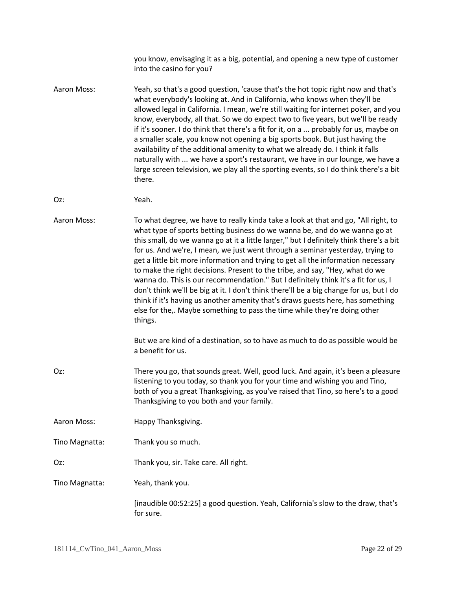|                | you know, envisaging it as a big, potential, and opening a new type of customer<br>into the casino for you?                                                                                                                                                                                                                                                                                                                                                                                                                                                                                                                                                                                                                                                                                                                                                                    |
|----------------|--------------------------------------------------------------------------------------------------------------------------------------------------------------------------------------------------------------------------------------------------------------------------------------------------------------------------------------------------------------------------------------------------------------------------------------------------------------------------------------------------------------------------------------------------------------------------------------------------------------------------------------------------------------------------------------------------------------------------------------------------------------------------------------------------------------------------------------------------------------------------------|
| Aaron Moss:    | Yeah, so that's a good question, 'cause that's the hot topic right now and that's<br>what everybody's looking at. And in California, who knows when they'll be<br>allowed legal in California. I mean, we're still waiting for internet poker, and you<br>know, everybody, all that. So we do expect two to five years, but we'll be ready<br>if it's sooner. I do think that there's a fit for it, on a  probably for us, maybe on<br>a smaller scale, you know not opening a big sports book. But just having the<br>availability of the additional amenity to what we already do. I think it falls<br>naturally with  we have a sport's restaurant, we have in our lounge, we have a<br>large screen television, we play all the sporting events, so I do think there's a bit<br>there.                                                                                     |
| Oz:            | Yeah.                                                                                                                                                                                                                                                                                                                                                                                                                                                                                                                                                                                                                                                                                                                                                                                                                                                                          |
| Aaron Moss:    | To what degree, we have to really kinda take a look at that and go, "All right, to<br>what type of sports betting business do we wanna be, and do we wanna go at<br>this small, do we wanna go at it a little larger," but I definitely think there's a bit<br>for us. And we're, I mean, we just went through a seminar yesterday, trying to<br>get a little bit more information and trying to get all the information necessary<br>to make the right decisions. Present to the tribe, and say, "Hey, what do we<br>wanna do. This is our recommendation." But I definitely think it's a fit for us, I<br>don't think we'll be big at it. I don't think there'll be a big change for us, but I do<br>think if it's having us another amenity that's draws guests here, has something<br>else for the,. Maybe something to pass the time while they're doing other<br>things. |
|                | But we are kind of a destination, so to have as much to do as possible would be<br>a benefit for us.                                                                                                                                                                                                                                                                                                                                                                                                                                                                                                                                                                                                                                                                                                                                                                           |
| Oz:            | There you go, that sounds great. Well, good luck. And again, it's been a pleasure<br>listening to you today, so thank you for your time and wishing you and Tino,<br>both of you a great Thanksgiving, as you've raised that Tino, so here's to a good<br>Thanksgiving to you both and your family.                                                                                                                                                                                                                                                                                                                                                                                                                                                                                                                                                                            |
| Aaron Moss:    | Happy Thanksgiving.                                                                                                                                                                                                                                                                                                                                                                                                                                                                                                                                                                                                                                                                                                                                                                                                                                                            |
| Tino Magnatta: | Thank you so much.                                                                                                                                                                                                                                                                                                                                                                                                                                                                                                                                                                                                                                                                                                                                                                                                                                                             |
| Oz:            | Thank you, sir. Take care. All right.                                                                                                                                                                                                                                                                                                                                                                                                                                                                                                                                                                                                                                                                                                                                                                                                                                          |
| Tino Magnatta: | Yeah, thank you.                                                                                                                                                                                                                                                                                                                                                                                                                                                                                                                                                                                                                                                                                                                                                                                                                                                               |
|                | [inaudible 00:52:25] a good question. Yeah, California's slow to the draw, that's<br>for sure.                                                                                                                                                                                                                                                                                                                                                                                                                                                                                                                                                                                                                                                                                                                                                                                 |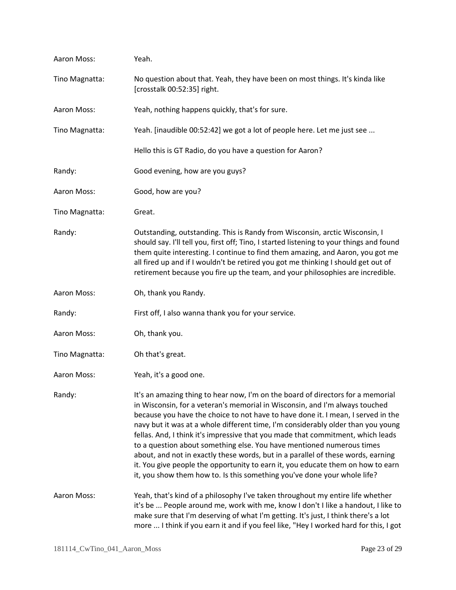| Aaron Moss:    | Yeah.                                                                                                                                                                                                                                                                                                                                                                                                                                                                                                                                                                                                                                                                                                                                                 |
|----------------|-------------------------------------------------------------------------------------------------------------------------------------------------------------------------------------------------------------------------------------------------------------------------------------------------------------------------------------------------------------------------------------------------------------------------------------------------------------------------------------------------------------------------------------------------------------------------------------------------------------------------------------------------------------------------------------------------------------------------------------------------------|
| Tino Magnatta: | No question about that. Yeah, they have been on most things. It's kinda like<br>[crosstalk 00:52:35] right.                                                                                                                                                                                                                                                                                                                                                                                                                                                                                                                                                                                                                                           |
| Aaron Moss:    | Yeah, nothing happens quickly, that's for sure.                                                                                                                                                                                                                                                                                                                                                                                                                                                                                                                                                                                                                                                                                                       |
| Tino Magnatta: | Yeah. [inaudible 00:52:42] we got a lot of people here. Let me just see                                                                                                                                                                                                                                                                                                                                                                                                                                                                                                                                                                                                                                                                               |
|                | Hello this is GT Radio, do you have a question for Aaron?                                                                                                                                                                                                                                                                                                                                                                                                                                                                                                                                                                                                                                                                                             |
| Randy:         | Good evening, how are you guys?                                                                                                                                                                                                                                                                                                                                                                                                                                                                                                                                                                                                                                                                                                                       |
| Aaron Moss:    | Good, how are you?                                                                                                                                                                                                                                                                                                                                                                                                                                                                                                                                                                                                                                                                                                                                    |
| Tino Magnatta: | Great.                                                                                                                                                                                                                                                                                                                                                                                                                                                                                                                                                                                                                                                                                                                                                |
| Randy:         | Outstanding, outstanding. This is Randy from Wisconsin, arctic Wisconsin, I<br>should say. I'll tell you, first off; Tino, I started listening to your things and found<br>them quite interesting. I continue to find them amazing, and Aaron, you got me<br>all fired up and if I wouldn't be retired you got me thinking I should get out of<br>retirement because you fire up the team, and your philosophies are incredible.                                                                                                                                                                                                                                                                                                                      |
| Aaron Moss:    | Oh, thank you Randy.                                                                                                                                                                                                                                                                                                                                                                                                                                                                                                                                                                                                                                                                                                                                  |
| Randy:         | First off, I also wanna thank you for your service.                                                                                                                                                                                                                                                                                                                                                                                                                                                                                                                                                                                                                                                                                                   |
| Aaron Moss:    | Oh, thank you.                                                                                                                                                                                                                                                                                                                                                                                                                                                                                                                                                                                                                                                                                                                                        |
| Tino Magnatta: | Oh that's great.                                                                                                                                                                                                                                                                                                                                                                                                                                                                                                                                                                                                                                                                                                                                      |
| Aaron Moss:    | Yeah, it's a good one.                                                                                                                                                                                                                                                                                                                                                                                                                                                                                                                                                                                                                                                                                                                                |
| Randy:         | It's an amazing thing to hear now, I'm on the board of directors for a memorial<br>in Wisconsin, for a veteran's memorial in Wisconsin, and I'm always touched<br>because you have the choice to not have to have done it. I mean, I served in the<br>navy but it was at a whole different time, I'm considerably older than you young<br>fellas. And, I think it's impressive that you made that commitment, which leads<br>to a question about something else. You have mentioned numerous times<br>about, and not in exactly these words, but in a parallel of these words, earning<br>it. You give people the opportunity to earn it, you educate them on how to earn<br>it, you show them how to. Is this something you've done your whole life? |
| Aaron Moss:    | Yeah, that's kind of a philosophy I've taken throughout my entire life whether<br>it's be  People around me, work with me, know I don't I like a handout, I like to<br>make sure that I'm deserving of what I'm getting. It's just, I think there's a lot<br>more  I think if you earn it and if you feel like, "Hey I worked hard for this, I got                                                                                                                                                                                                                                                                                                                                                                                                    |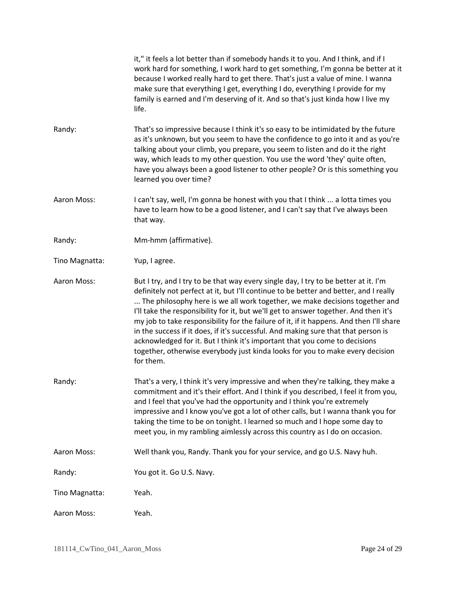|                | it," it feels a lot better than if somebody hands it to you. And I think, and if I<br>work hard for something, I work hard to get something, I'm gonna be better at it<br>because I worked really hard to get there. That's just a value of mine. I wanna<br>make sure that everything I get, everything I do, everything I provide for my<br>family is earned and I'm deserving of it. And so that's just kinda how I live my<br>life.                                                                                                                                                                                                                                                                          |
|----------------|------------------------------------------------------------------------------------------------------------------------------------------------------------------------------------------------------------------------------------------------------------------------------------------------------------------------------------------------------------------------------------------------------------------------------------------------------------------------------------------------------------------------------------------------------------------------------------------------------------------------------------------------------------------------------------------------------------------|
| Randy:         | That's so impressive because I think it's so easy to be intimidated by the future<br>as it's unknown, but you seem to have the confidence to go into it and as you're<br>talking about your climb, you prepare, you seem to listen and do it the right<br>way, which leads to my other question. You use the word 'they' quite often,<br>have you always been a good listener to other people? Or is this something you<br>learned you over time?                                                                                                                                                                                                                                                                |
| Aaron Moss:    | I can't say, well, I'm gonna be honest with you that I think  a lotta times you<br>have to learn how to be a good listener, and I can't say that I've always been<br>that way.                                                                                                                                                                                                                                                                                                                                                                                                                                                                                                                                   |
| Randy:         | Mm-hmm (affirmative).                                                                                                                                                                                                                                                                                                                                                                                                                                                                                                                                                                                                                                                                                            |
| Tino Magnatta: | Yup, I agree.                                                                                                                                                                                                                                                                                                                                                                                                                                                                                                                                                                                                                                                                                                    |
| Aaron Moss:    | But I try, and I try to be that way every single day, I try to be better at it. I'm<br>definitely not perfect at it, but I'll continue to be better and better, and I really<br>The philosophy here is we all work together, we make decisions together and<br>I'll take the responsibility for it, but we'll get to answer together. And then it's<br>my job to take responsibility for the failure of it, if it happens. And then I'll share<br>in the success if it does, if it's successful. And making sure that that person is<br>acknowledged for it. But I think it's important that you come to decisions<br>together, otherwise everybody just kinda looks for you to make every decision<br>for them. |
| Randy:         | That's a very, I think it's very impressive and when they're talking, they make a<br>commitment and it's their effort. And I think if you described, I feel it from you,<br>and I feel that you've had the opportunity and I think you're extremely<br>impressive and I know you've got a lot of other calls, but I wanna thank you for<br>taking the time to be on tonight. I learned so much and I hope some day to<br>meet you, in my rambling aimlessly across this country as I do on occasion.                                                                                                                                                                                                             |
| Aaron Moss:    | Well thank you, Randy. Thank you for your service, and go U.S. Navy huh.                                                                                                                                                                                                                                                                                                                                                                                                                                                                                                                                                                                                                                         |
| Randy:         | You got it. Go U.S. Navy.                                                                                                                                                                                                                                                                                                                                                                                                                                                                                                                                                                                                                                                                                        |
| Tino Magnatta: | Yeah.                                                                                                                                                                                                                                                                                                                                                                                                                                                                                                                                                                                                                                                                                                            |
| Aaron Moss:    | Yeah.                                                                                                                                                                                                                                                                                                                                                                                                                                                                                                                                                                                                                                                                                                            |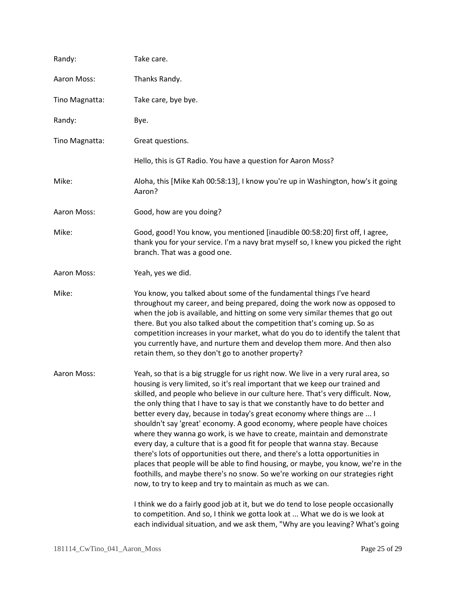| Randy:         | Take care.                                                                                                                                                                                                                                                                                                                                                                                                                                                                                                                                                                                                                                                                                                                                                                                                                                                                                                                                                                                                                                                                                                                                                                                                                          |
|----------------|-------------------------------------------------------------------------------------------------------------------------------------------------------------------------------------------------------------------------------------------------------------------------------------------------------------------------------------------------------------------------------------------------------------------------------------------------------------------------------------------------------------------------------------------------------------------------------------------------------------------------------------------------------------------------------------------------------------------------------------------------------------------------------------------------------------------------------------------------------------------------------------------------------------------------------------------------------------------------------------------------------------------------------------------------------------------------------------------------------------------------------------------------------------------------------------------------------------------------------------|
| Aaron Moss:    | Thanks Randy.                                                                                                                                                                                                                                                                                                                                                                                                                                                                                                                                                                                                                                                                                                                                                                                                                                                                                                                                                                                                                                                                                                                                                                                                                       |
| Tino Magnatta: | Take care, bye bye.                                                                                                                                                                                                                                                                                                                                                                                                                                                                                                                                                                                                                                                                                                                                                                                                                                                                                                                                                                                                                                                                                                                                                                                                                 |
| Randy:         | Bye.                                                                                                                                                                                                                                                                                                                                                                                                                                                                                                                                                                                                                                                                                                                                                                                                                                                                                                                                                                                                                                                                                                                                                                                                                                |
| Tino Magnatta: | Great questions.                                                                                                                                                                                                                                                                                                                                                                                                                                                                                                                                                                                                                                                                                                                                                                                                                                                                                                                                                                                                                                                                                                                                                                                                                    |
|                | Hello, this is GT Radio. You have a question for Aaron Moss?                                                                                                                                                                                                                                                                                                                                                                                                                                                                                                                                                                                                                                                                                                                                                                                                                                                                                                                                                                                                                                                                                                                                                                        |
| Mike:          | Aloha, this [Mike Kah 00:58:13], I know you're up in Washington, how's it going<br>Aaron?                                                                                                                                                                                                                                                                                                                                                                                                                                                                                                                                                                                                                                                                                                                                                                                                                                                                                                                                                                                                                                                                                                                                           |
| Aaron Moss:    | Good, how are you doing?                                                                                                                                                                                                                                                                                                                                                                                                                                                                                                                                                                                                                                                                                                                                                                                                                                                                                                                                                                                                                                                                                                                                                                                                            |
| Mike:          | Good, good! You know, you mentioned [inaudible 00:58:20] first off, I agree,<br>thank you for your service. I'm a navy brat myself so, I knew you picked the right<br>branch. That was a good one.                                                                                                                                                                                                                                                                                                                                                                                                                                                                                                                                                                                                                                                                                                                                                                                                                                                                                                                                                                                                                                  |
| Aaron Moss:    | Yeah, yes we did.                                                                                                                                                                                                                                                                                                                                                                                                                                                                                                                                                                                                                                                                                                                                                                                                                                                                                                                                                                                                                                                                                                                                                                                                                   |
| Mike:          | You know, you talked about some of the fundamental things I've heard<br>throughout my career, and being prepared, doing the work now as opposed to<br>when the job is available, and hitting on some very similar themes that go out<br>there. But you also talked about the competition that's coming up. So as<br>competition increases in your market, what do you do to identify the talent that<br>you currently have, and nurture them and develop them more. And then also<br>retain them, so they don't go to another property?                                                                                                                                                                                                                                                                                                                                                                                                                                                                                                                                                                                                                                                                                             |
| Aaron Moss:    | Yeah, so that is a big struggle for us right now. We live in a very rural area, so<br>housing is very limited, so it's real important that we keep our trained and<br>skilled, and people who believe in our culture here. That's very difficult. Now,<br>the only thing that I have to say is that we constantly have to do better and<br>better every day, because in today's great economy where things are  I<br>shouldn't say 'great' economy. A good economy, where people have choices<br>where they wanna go work, is we have to create, maintain and demonstrate<br>every day, a culture that is a good fit for people that wanna stay. Because<br>there's lots of opportunities out there, and there's a lotta opportunities in<br>places that people will be able to find housing, or maybe, you know, we're in the<br>foothills, and maybe there's no snow. So we're working on our strategies right<br>now, to try to keep and try to maintain as much as we can.<br>I think we do a fairly good job at it, but we do tend to lose people occasionally<br>to competition. And so, I think we gotta look at  What we do is we look at<br>each individual situation, and we ask them, "Why are you leaving? What's going |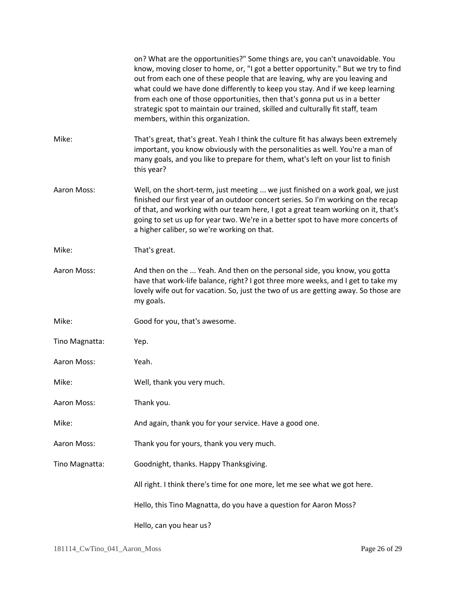|                | on? What are the opportunities?" Some things are, you can't unavoidable. You<br>know, moving closer to home, or, "I got a better opportunity." But we try to find<br>out from each one of these people that are leaving, why are you leaving and<br>what could we have done differently to keep you stay. And if we keep learning<br>from each one of those opportunities, then that's gonna put us in a better<br>strategic spot to maintain our trained, skilled and culturally fit staff, team<br>members, within this organization. |
|----------------|-----------------------------------------------------------------------------------------------------------------------------------------------------------------------------------------------------------------------------------------------------------------------------------------------------------------------------------------------------------------------------------------------------------------------------------------------------------------------------------------------------------------------------------------|
| Mike:          | That's great, that's great. Yeah I think the culture fit has always been extremely<br>important, you know obviously with the personalities as well. You're a man of<br>many goals, and you like to prepare for them, what's left on your list to finish<br>this year?                                                                                                                                                                                                                                                                   |
| Aaron Moss:    | Well, on the short-term, just meeting  we just finished on a work goal, we just<br>finished our first year of an outdoor concert series. So I'm working on the recap<br>of that, and working with our team here, I got a great team working on it, that's<br>going to set us up for year two. We're in a better spot to have more concerts of<br>a higher caliber, so we're working on that.                                                                                                                                            |
| Mike:          | That's great.                                                                                                                                                                                                                                                                                                                                                                                                                                                                                                                           |
| Aaron Moss:    | And then on the  Yeah. And then on the personal side, you know, you gotta<br>have that work-life balance, right? I got three more weeks, and I get to take my<br>lovely wife out for vacation. So, just the two of us are getting away. So those are<br>my goals.                                                                                                                                                                                                                                                                       |
| Mike:          | Good for you, that's awesome.                                                                                                                                                                                                                                                                                                                                                                                                                                                                                                           |
| Tino Magnatta: | Yep.                                                                                                                                                                                                                                                                                                                                                                                                                                                                                                                                    |
| Aaron Moss:    | Yeah.                                                                                                                                                                                                                                                                                                                                                                                                                                                                                                                                   |
| Mike:          | Well, thank you very much.                                                                                                                                                                                                                                                                                                                                                                                                                                                                                                              |
| Aaron Moss:    | Thank you.                                                                                                                                                                                                                                                                                                                                                                                                                                                                                                                              |
| Mike:          | And again, thank you for your service. Have a good one.                                                                                                                                                                                                                                                                                                                                                                                                                                                                                 |
| Aaron Moss:    | Thank you for yours, thank you very much.                                                                                                                                                                                                                                                                                                                                                                                                                                                                                               |
| Tino Magnatta: | Goodnight, thanks. Happy Thanksgiving.                                                                                                                                                                                                                                                                                                                                                                                                                                                                                                  |
|                | All right. I think there's time for one more, let me see what we got here.                                                                                                                                                                                                                                                                                                                                                                                                                                                              |
|                | Hello, this Tino Magnatta, do you have a question for Aaron Moss?                                                                                                                                                                                                                                                                                                                                                                                                                                                                       |
|                | Hello, can you hear us?                                                                                                                                                                                                                                                                                                                                                                                                                                                                                                                 |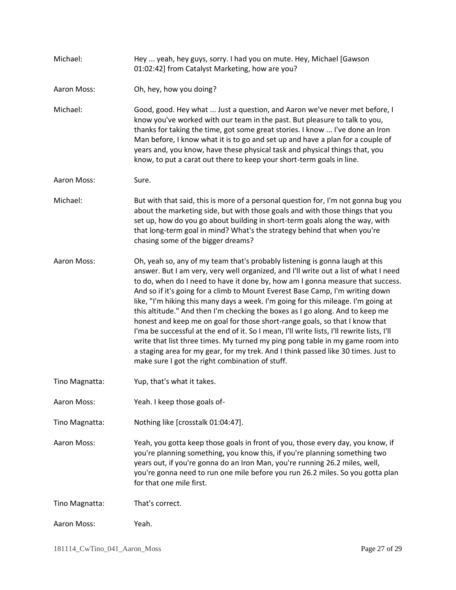| Michael:       | Hey  yeah, hey guys, sorry. I had you on mute. Hey, Michael [Gawson<br>01:02:42] from Catalyst Marketing, how are you?                                                                                                                                                                                                                                                                                                                                                                                                                                                                                                                                                                                                                                                                                                                                                                                                |
|----------------|-----------------------------------------------------------------------------------------------------------------------------------------------------------------------------------------------------------------------------------------------------------------------------------------------------------------------------------------------------------------------------------------------------------------------------------------------------------------------------------------------------------------------------------------------------------------------------------------------------------------------------------------------------------------------------------------------------------------------------------------------------------------------------------------------------------------------------------------------------------------------------------------------------------------------|
| Aaron Moss:    | Oh, hey, how you doing?                                                                                                                                                                                                                                                                                                                                                                                                                                                                                                                                                                                                                                                                                                                                                                                                                                                                                               |
| Michael:       | Good, good. Hey what  Just a question, and Aaron we've never met before, I<br>know you've worked with our team in the past. But pleasure to talk to you,<br>thanks for taking the time, got some great stories. I know  I've done an Iron<br>Man before, I know what it is to go and set up and have a plan for a couple of<br>years and, you know, have these physical task and physical things that, you<br>know, to put a carat out there to keep your short-term goals in line.                                                                                                                                                                                                                                                                                                                                                                                                                                   |
| Aaron Moss:    | Sure.                                                                                                                                                                                                                                                                                                                                                                                                                                                                                                                                                                                                                                                                                                                                                                                                                                                                                                                 |
| Michael:       | But with that said, this is more of a personal question for, I'm not gonna bug you<br>about the marketing side, but with those goals and with those things that you<br>set up, how do you go about building in short-term goals along the way, with<br>that long-term goal in mind? What's the strategy behind that when you're<br>chasing some of the bigger dreams?                                                                                                                                                                                                                                                                                                                                                                                                                                                                                                                                                 |
| Aaron Moss:    | Oh, yeah so, any of my team that's probably listening is gonna laugh at this<br>answer. But I am very, very well organized, and I'll write out a list of what I need<br>to do, when do I need to have it done by, how am I gonna measure that success.<br>And so if it's going for a climb to Mount Everest Base Camp, I'm writing down<br>like, "I'm hiking this many days a week. I'm going for this mileage. I'm going at<br>this altitude." And then I'm checking the boxes as I go along. And to keep me<br>honest and keep me on goal for those short-range goals, so that I know that<br>I'ma be successful at the end of it. So I mean, I'll write lists, I'll rewrite lists, I'll<br>write that list three times. My turned my ping pong table in my game room into<br>a staging area for my gear, for my trek. And I think passed like 30 times. Just to<br>make sure I got the right combination of stuff. |
| Tino Magnatta: | Yup, that's what it takes.                                                                                                                                                                                                                                                                                                                                                                                                                                                                                                                                                                                                                                                                                                                                                                                                                                                                                            |
| Aaron Moss:    | Yeah. I keep those goals of-                                                                                                                                                                                                                                                                                                                                                                                                                                                                                                                                                                                                                                                                                                                                                                                                                                                                                          |
| Tino Magnatta: | Nothing like [crosstalk 01:04:47].                                                                                                                                                                                                                                                                                                                                                                                                                                                                                                                                                                                                                                                                                                                                                                                                                                                                                    |
| Aaron Moss:    | Yeah, you gotta keep those goals in front of you, those every day, you know, if<br>you're planning something, you know this, if you're planning something two<br>years out, if you're gonna do an Iron Man, you're running 26.2 miles, well,<br>you're gonna need to run one mile before you run 26.2 miles. So you gotta plan<br>for that one mile first.                                                                                                                                                                                                                                                                                                                                                                                                                                                                                                                                                            |
| Tino Magnatta: | That's correct.                                                                                                                                                                                                                                                                                                                                                                                                                                                                                                                                                                                                                                                                                                                                                                                                                                                                                                       |
| Aaron Moss:    | Yeah.                                                                                                                                                                                                                                                                                                                                                                                                                                                                                                                                                                                                                                                                                                                                                                                                                                                                                                                 |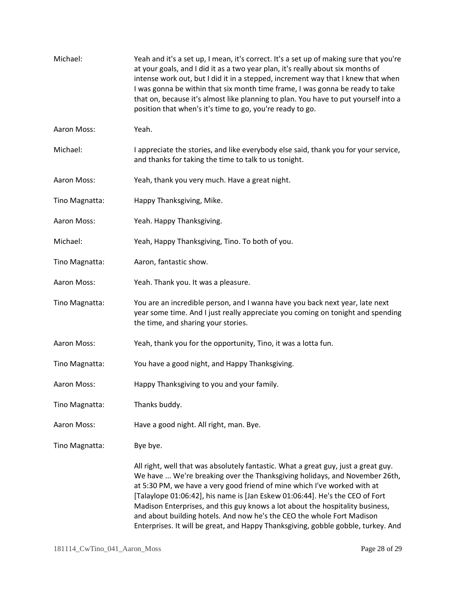| Michael:       | Yeah and it's a set up, I mean, it's correct. It's a set up of making sure that you're<br>at your goals, and I did it as a two year plan, it's really about six months of<br>intense work out, but I did it in a stepped, increment way that I knew that when<br>I was gonna be within that six month time frame, I was gonna be ready to take<br>that on, because it's almost like planning to plan. You have to put yourself into a<br>position that when's it's time to go, you're ready to go.                                                                           |
|----------------|------------------------------------------------------------------------------------------------------------------------------------------------------------------------------------------------------------------------------------------------------------------------------------------------------------------------------------------------------------------------------------------------------------------------------------------------------------------------------------------------------------------------------------------------------------------------------|
| Aaron Moss:    | Yeah.                                                                                                                                                                                                                                                                                                                                                                                                                                                                                                                                                                        |
| Michael:       | I appreciate the stories, and like everybody else said, thank you for your service,<br>and thanks for taking the time to talk to us tonight.                                                                                                                                                                                                                                                                                                                                                                                                                                 |
| Aaron Moss:    | Yeah, thank you very much. Have a great night.                                                                                                                                                                                                                                                                                                                                                                                                                                                                                                                               |
| Tino Magnatta: | Happy Thanksgiving, Mike.                                                                                                                                                                                                                                                                                                                                                                                                                                                                                                                                                    |
| Aaron Moss:    | Yeah. Happy Thanksgiving.                                                                                                                                                                                                                                                                                                                                                                                                                                                                                                                                                    |
| Michael:       | Yeah, Happy Thanksgiving, Tino. To both of you.                                                                                                                                                                                                                                                                                                                                                                                                                                                                                                                              |
| Tino Magnatta: | Aaron, fantastic show.                                                                                                                                                                                                                                                                                                                                                                                                                                                                                                                                                       |
| Aaron Moss:    | Yeah. Thank you. It was a pleasure.                                                                                                                                                                                                                                                                                                                                                                                                                                                                                                                                          |
| Tino Magnatta: | You are an incredible person, and I wanna have you back next year, late next<br>year some time. And I just really appreciate you coming on tonight and spending<br>the time, and sharing your stories.                                                                                                                                                                                                                                                                                                                                                                       |
| Aaron Moss:    | Yeah, thank you for the opportunity, Tino, it was a lotta fun.                                                                                                                                                                                                                                                                                                                                                                                                                                                                                                               |
| Tino Magnatta: | You have a good night, and Happy Thanksgiving.                                                                                                                                                                                                                                                                                                                                                                                                                                                                                                                               |
| Aaron Moss:    | Happy Thanksgiving to you and your family.                                                                                                                                                                                                                                                                                                                                                                                                                                                                                                                                   |
| Tino Magnatta: | Thanks buddy.                                                                                                                                                                                                                                                                                                                                                                                                                                                                                                                                                                |
| Aaron Moss:    | Have a good night. All right, man. Bye.                                                                                                                                                                                                                                                                                                                                                                                                                                                                                                                                      |
| Tino Magnatta: | Bye bye.                                                                                                                                                                                                                                                                                                                                                                                                                                                                                                                                                                     |
|                | All right, well that was absolutely fantastic. What a great guy, just a great guy.<br>We have  We're breaking over the Thanksgiving holidays, and November 26th,<br>at 5:30 PM, we have a very good friend of mine which I've worked with at<br>[Talaylope 01:06:42], his name is [Jan Eskew 01:06:44]. He's the CEO of Fort<br>Madison Enterprises, and this guy knows a lot about the hospitality business,<br>and about building hotels. And now he's the CEO the whole Fort Madison<br>Enterprises. It will be great, and Happy Thanksgiving, gobble gobble, turkey. And |